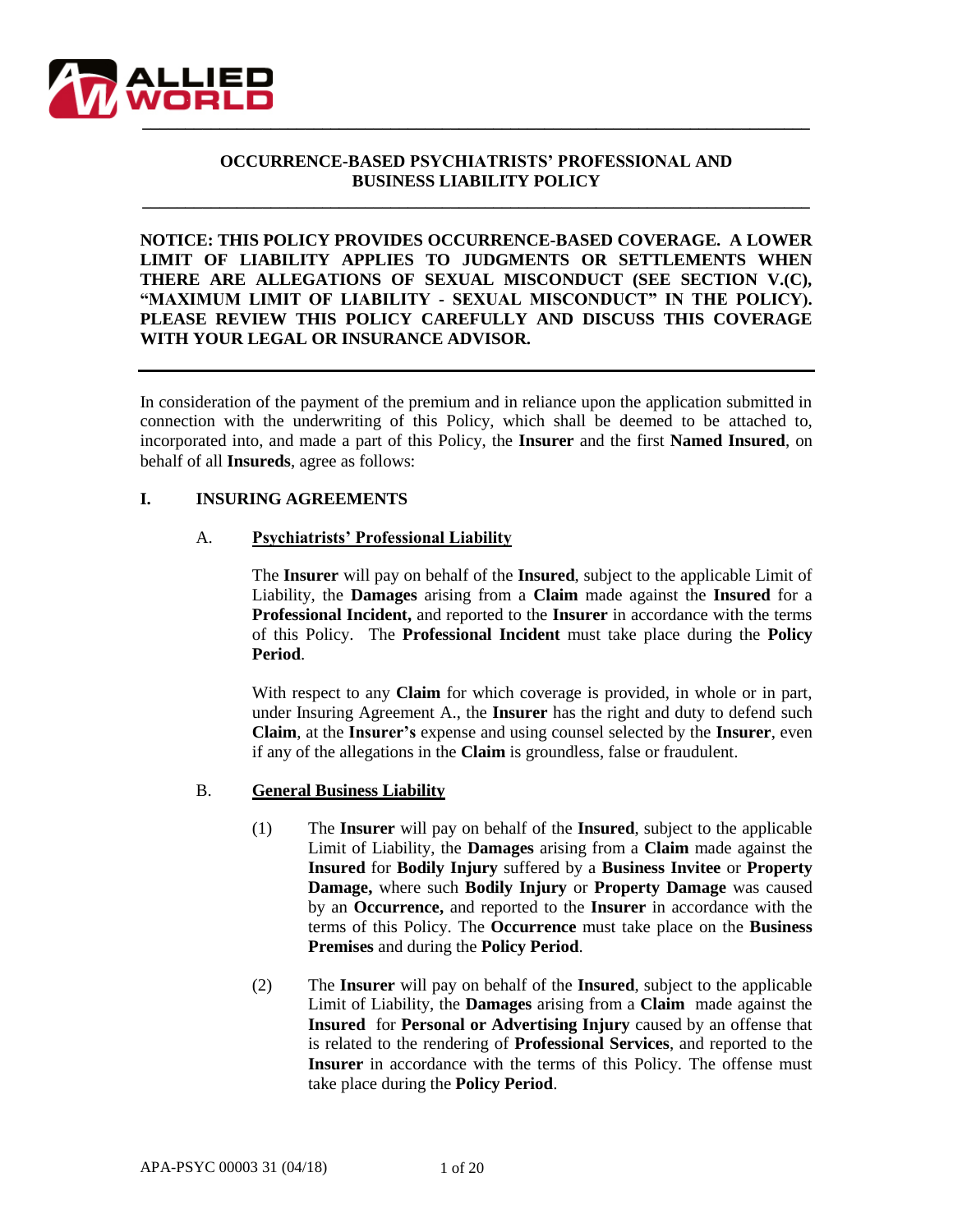

# **OCCURRENCE-BASED PSYCHIATRISTS' PROFESSIONAL AND BUSINESS LIABILITY POLICY**

**\_\_\_\_\_\_\_\_\_\_\_\_\_\_\_\_\_\_\_\_\_\_\_\_\_\_\_\_\_\_\_\_\_\_\_\_\_\_\_\_\_\_\_\_\_\_\_\_\_\_\_\_\_\_\_\_\_\_\_\_\_\_\_\_\_\_\_\_\_\_\_\_\_\_\_\_\_\_**

**NOTICE: THIS POLICY PROVIDES OCCURRENCE-BASED COVERAGE. A LOWER LIMIT OF LIABILITY APPLIES TO JUDGMENTS OR SETTLEMENTS WHEN THERE ARE ALLEGATIONS OF SEXUAL MISCONDUCT (SEE SECTION V.(C), "MAXIMUM LIMIT OF LIABILITY - SEXUAL MISCONDUCT" IN THE POLICY). PLEASE REVIEW THIS POLICY CAREFULLY AND DISCUSS THIS COVERAGE WITH YOUR LEGAL OR INSURANCE ADVISOR.**

In consideration of the payment of the premium and in reliance upon the application submitted in connection with the underwriting of this Policy, which shall be deemed to be attached to, incorporated into, and made a part of this Policy, the **Insurer** and the first **Named Insured**, on behalf of all **Insureds**, agree as follows:

### **I. INSURING AGREEMENTS**

### A. **Psychiatrists' Professional Liability**

The **Insurer** will pay on behalf of the **Insured**, subject to the applicable Limit of Liability, the **Damages** arising from a **Claim** made against the **Insured** for a **Professional Incident,** and reported to the **Insurer** in accordance with the terms of this Policy. The **Professional Incident** must take place during the **Policy Period**.

With respect to any **Claim** for which coverage is provided, in whole or in part, under Insuring Agreement A., the **Insurer** has the right and duty to defend such **Claim**, at the **Insurer's** expense and using counsel selected by the **Insurer**, even if any of the allegations in the **Claim** is groundless, false or fraudulent.

#### B. **General Business Liability**

- (1) The **Insurer** will pay on behalf of the **Insured**, subject to the applicable Limit of Liability, the **Damages** arising from a **Claim** made against the **Insured** for **Bodily Injury** suffered by a **Business Invitee** or **Property Damage,** where such **Bodily Injury** or **Property Damage** was caused by an **Occurrence,** and reported to the **Insurer** in accordance with the terms of this Policy. The **Occurrence** must take place on the **Business Premises** and during the **Policy Period**.
- (2) The **Insurer** will pay on behalf of the **Insured**, subject to the applicable Limit of Liability, the **Damages** arising from a **Claim** made against the **Insured** for **Personal or Advertising Injury** caused by an offense that is related to the rendering of **Professional Services**, and reported to the **Insurer** in accordance with the terms of this Policy. The offense must take place during the **Policy Period**.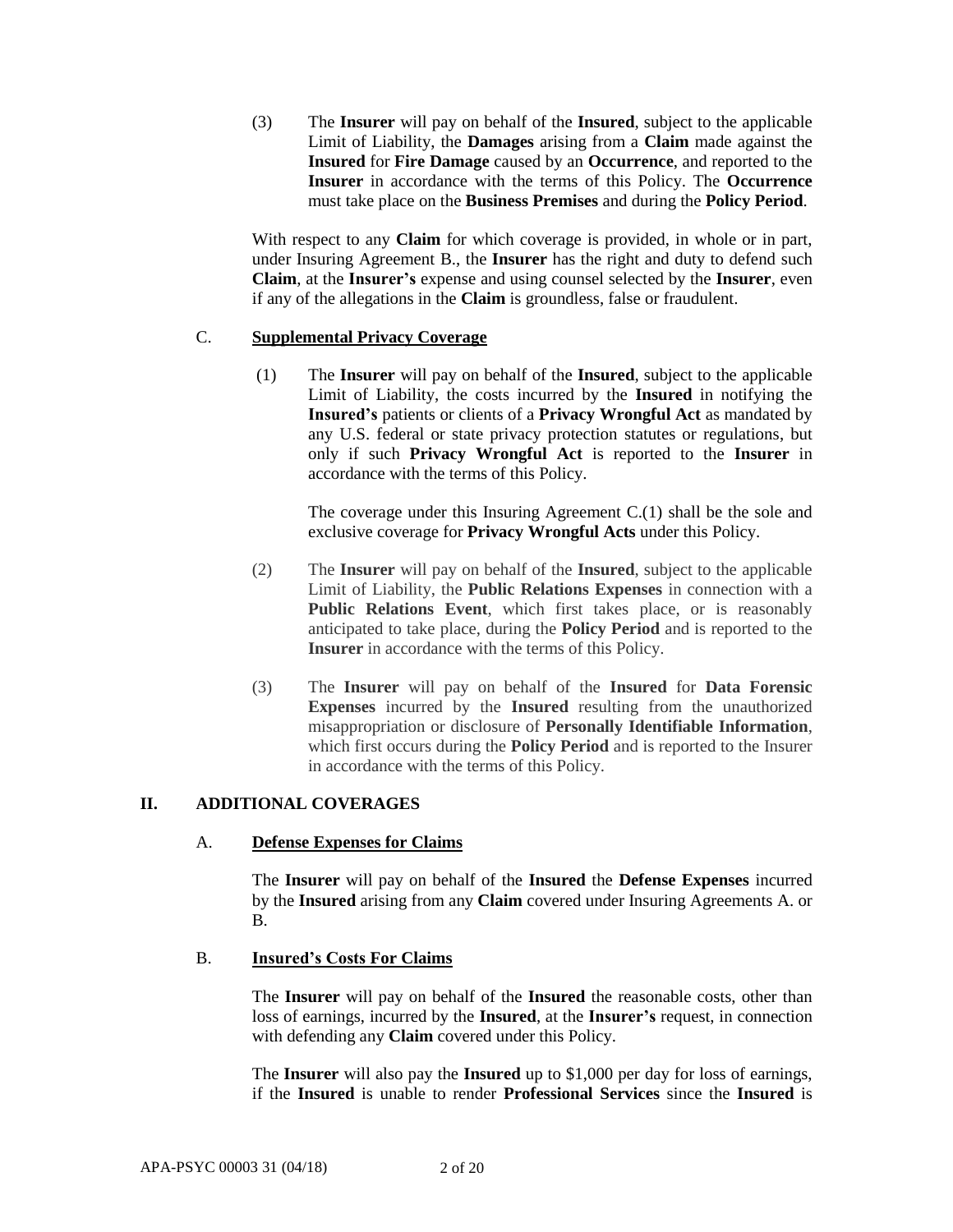(3) The **Insurer** will pay on behalf of the **Insured**, subject to the applicable Limit of Liability, the **Damages** arising from a **Claim** made against the **Insured** for **Fire Damage** caused by an **Occurrence**, and reported to the **Insurer** in accordance with the terms of this Policy. The **Occurrence** must take place on the **Business Premises** and during the **Policy Period**.

With respect to any **Claim** for which coverage is provided, in whole or in part, under Insuring Agreement B., the **Insurer** has the right and duty to defend such **Claim**, at the **Insurer's** expense and using counsel selected by the **Insurer**, even if any of the allegations in the **Claim** is groundless, false or fraudulent.

# C. **Supplemental Privacy Coverage**

(1) The **Insurer** will pay on behalf of the **Insured**, subject to the applicable Limit of Liability, the costs incurred by the **Insured** in notifying the **Insured's** patients or clients of a **Privacy Wrongful Act** as mandated by any U.S. federal or state privacy protection statutes or regulations, but only if such **Privacy Wrongful Act** is reported to the **Insurer** in accordance with the terms of this Policy.

The coverage under this Insuring Agreement C.(1) shall be the sole and exclusive coverage for **Privacy Wrongful Acts** under this Policy.

- (2) The **Insurer** will pay on behalf of the **Insured**, subject to the applicable Limit of Liability, the **Public Relations Expenses** in connection with a **Public Relations Event**, which first takes place, or is reasonably anticipated to take place, during the **Policy Period** and is reported to the **Insurer** in accordance with the terms of this Policy.
- (3) The **Insurer** will pay on behalf of the **Insured** for **Data Forensic Expenses** incurred by the **Insured** resulting from the unauthorized misappropriation or disclosure of **Personally Identifiable Information**, which first occurs during the **Policy Period** and is reported to the Insurer in accordance with the terms of this Policy.

# **II. ADDITIONAL COVERAGES**

# A. **Defense Expenses for Claims**

The **Insurer** will pay on behalf of the **Insured** the **Defense Expenses** incurred by the **Insured** arising from any **Claim** covered under Insuring Agreements A. or B.

# B. **Insured's Costs For Claims**

The **Insurer** will pay on behalf of the **Insured** the reasonable costs, other than loss of earnings, incurred by the **Insured**, at the **Insurer's** request, in connection with defending any **Claim** covered under this Policy.

The **Insurer** will also pay the **Insured** up to \$1,000 per day for loss of earnings, if the **Insured** is unable to render **Professional Services** since the **Insured** is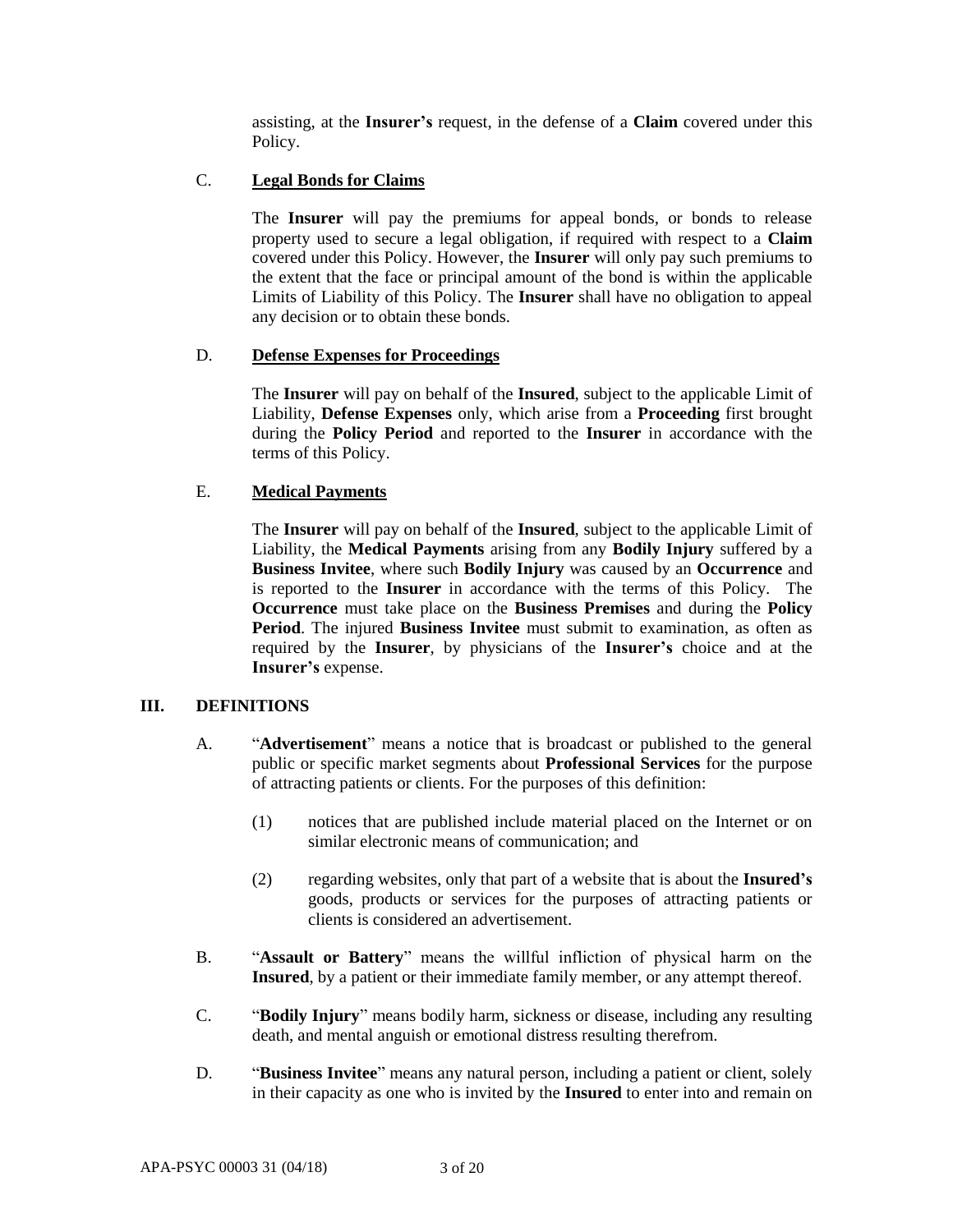assisting, at the **Insurer's** request, in the defense of a **Claim** covered under this Policy.

# C. **Legal Bonds for Claims**

The **Insurer** will pay the premiums for appeal bonds, or bonds to release property used to secure a legal obligation, if required with respect to a **Claim** covered under this Policy. However, the **Insurer** will only pay such premiums to the extent that the face or principal amount of the bond is within the applicable Limits of Liability of this Policy. The **Insurer** shall have no obligation to appeal any decision or to obtain these bonds.

# D. **Defense Expenses for Proceedings**

The **Insurer** will pay on behalf of the **Insured**, subject to the applicable Limit of Liability, **Defense Expenses** only, which arise from a **Proceeding** first brought during the **Policy Period** and reported to the **Insurer** in accordance with the terms of this Policy.

# E. **Medical Payments**

The **Insurer** will pay on behalf of the **Insured**, subject to the applicable Limit of Liability, the **Medical Payments** arising from any **Bodily Injury** suffered by a **Business Invitee**, where such **Bodily Injury** was caused by an **Occurrence** and is reported to the **Insurer** in accordance with the terms of this Policy. The **Occurrence** must take place on the **Business Premises** and during the **Policy Period**. The injured **Business Invitee** must submit to examination, as often as required by the **Insurer**, by physicians of the **Insurer's** choice and at the **Insurer's** expense.

# **III. DEFINITIONS**

- A. "**Advertisement**" means a notice that is broadcast or published to the general public or specific market segments about **Professional Services** for the purpose of attracting patients or clients. For the purposes of this definition:
	- (1) notices that are published include material placed on the Internet or on similar electronic means of communication; and
	- (2) regarding websites, only that part of a website that is about the **Insured's** goods, products or services for the purposes of attracting patients or clients is considered an advertisement.
- B. "**Assault or Battery**" means the willful infliction of physical harm on the **Insured**, by a patient or their immediate family member, or any attempt thereof.
- C. "**Bodily Injury**" means bodily harm, sickness or disease, including any resulting death, and mental anguish or emotional distress resulting therefrom.
- D. "**Business Invitee**" means any natural person, including a patient or client, solely in their capacity as one who is invited by the **Insured** to enter into and remain on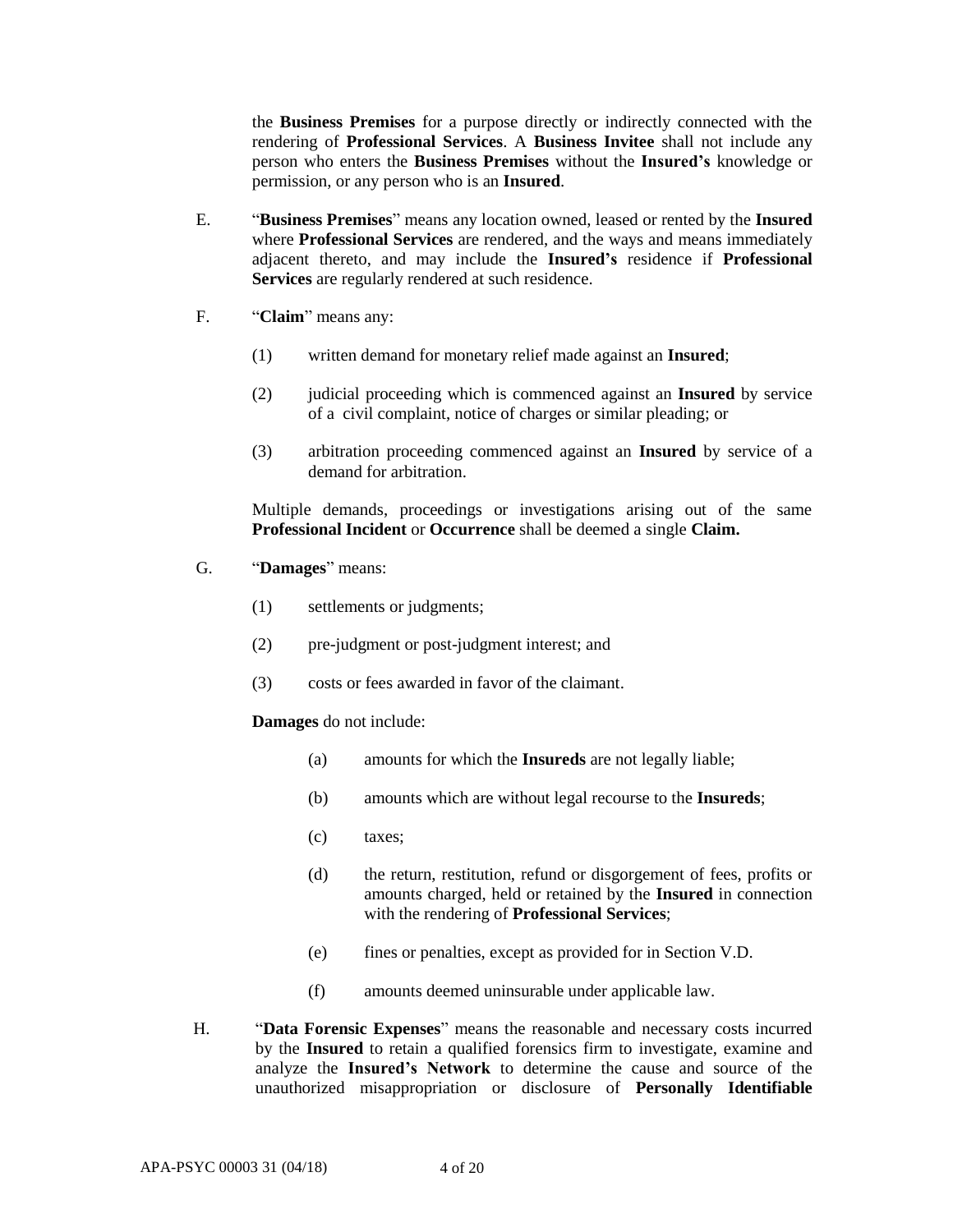the **Business Premises** for a purpose directly or indirectly connected with the rendering of **Professional Services**. A **Business Invitee** shall not include any person who enters the **Business Premises** without the **Insured's** knowledge or permission, or any person who is an **Insured**.

- E. "**Business Premises**" means any location owned, leased or rented by the **Insured**  where **Professional Services** are rendered, and the ways and means immediately adjacent thereto, and may include the **Insured's** residence if **Professional Services** are regularly rendered at such residence.
- F. "**Claim**" means any:
	- (1) written demand for monetary relief made against an **Insured**;
	- (2) judicial proceeding which is commenced against an **Insured** by service of a civil complaint, notice of charges or similar pleading; or
	- (3) arbitration proceeding commenced against an **Insured** by service of a demand for arbitration.

Multiple demands, proceedings or investigations arising out of the same **Professional Incident** or **Occurrence** shall be deemed a single **Claim.**

- G. "**Damages**" means:
	- (1) settlements or judgments;
	- (2) pre-judgment or post-judgment interest; and
	- (3) costs or fees awarded in favor of the claimant.

**Damages** do not include:

- (a) amounts for which the **Insureds** are not legally liable;
- (b) amounts which are without legal recourse to the **Insureds**;
- (c) taxes;
- (d) the return, restitution, refund or disgorgement of fees, profits or amounts charged, held or retained by the **Insured** in connection with the rendering of **Professional Services**;
- (e) fines or penalties, except as provided for in Section V.D.
- (f) amounts deemed uninsurable under applicable law.
- H. "**Data Forensic Expenses**" means the reasonable and necessary costs incurred by the **Insured** to retain a qualified forensics firm to investigate, examine and analyze the **Insured's Network** to determine the cause and source of the unauthorized misappropriation or disclosure of **Personally Identifiable**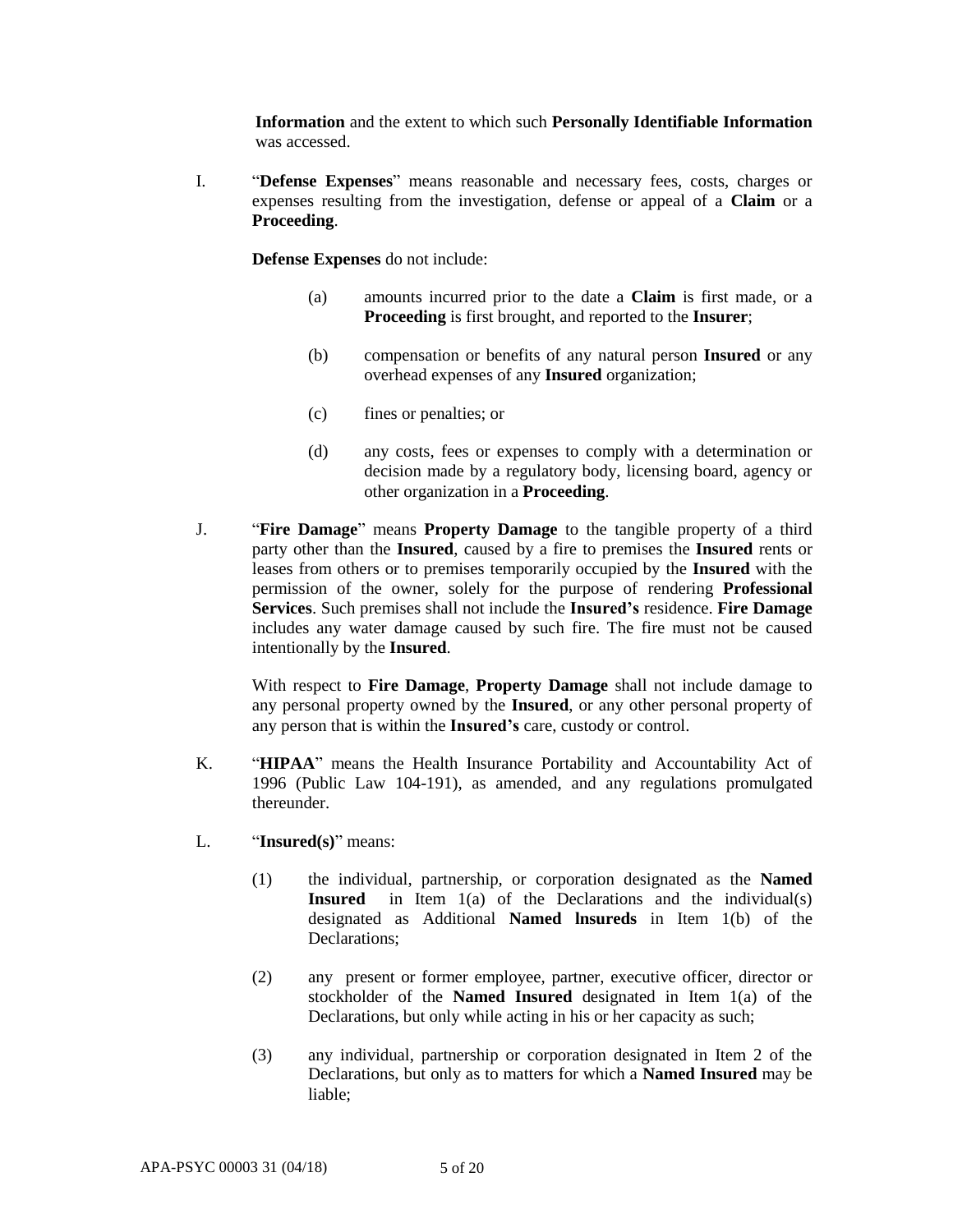**Information** and the extent to which such **Personally Identifiable Information** was accessed.

I. "**Defense Expenses**" means reasonable and necessary fees, costs, charges or expenses resulting from the investigation, defense or appeal of a **Claim** or a **Proceeding**.

**Defense Expenses** do not include:

- (a) amounts incurred prior to the date a **Claim** is first made, or a **Proceeding** is first brought, and reported to the **Insurer**;
- (b) compensation or benefits of any natural person **Insured** or any overhead expenses of any **Insured** organization;
- (c) fines or penalties; or
- (d) any costs, fees or expenses to comply with a determination or decision made by a regulatory body, licensing board, agency or other organization in a **Proceeding**.
- J. "**Fire Damage**" means **Property Damage** to the tangible property of a third party other than the **Insured**, caused by a fire to premises the **Insured** rents or leases from others or to premises temporarily occupied by the **Insured** with the permission of the owner, solely for the purpose of rendering **Professional Services**. Such premises shall not include the **Insured's** residence. **Fire Damage** includes any water damage caused by such fire. The fire must not be caused intentionally by the **Insured**.

With respect to **Fire Damage**, **Property Damage** shall not include damage to any personal property owned by the **Insured**, or any other personal property of any person that is within the **Insured's** care, custody or control.

- K. "**HIPAA**" means the Health Insurance Portability and Accountability Act of 1996 (Public Law 104-191), as amended, and any regulations promulgated thereunder.
- L. "**Insured(s)**" means:
	- (1) the individual, partnership, or corporation designated as the **Named Insured** in Item 1(a) of the Declarations and the individual(s) designated as Additional **Named lnsureds** in Item 1(b) of the Declarations;
	- (2) any present or former employee, partner, executive officer, director or stockholder of the **Named Insured** designated in Item 1(a) of the Declarations, but only while acting in his or her capacity as such;
	- (3) any individual, partnership or corporation designated in Item 2 of the Declarations, but only as to matters for which a **Named Insured** may be liable;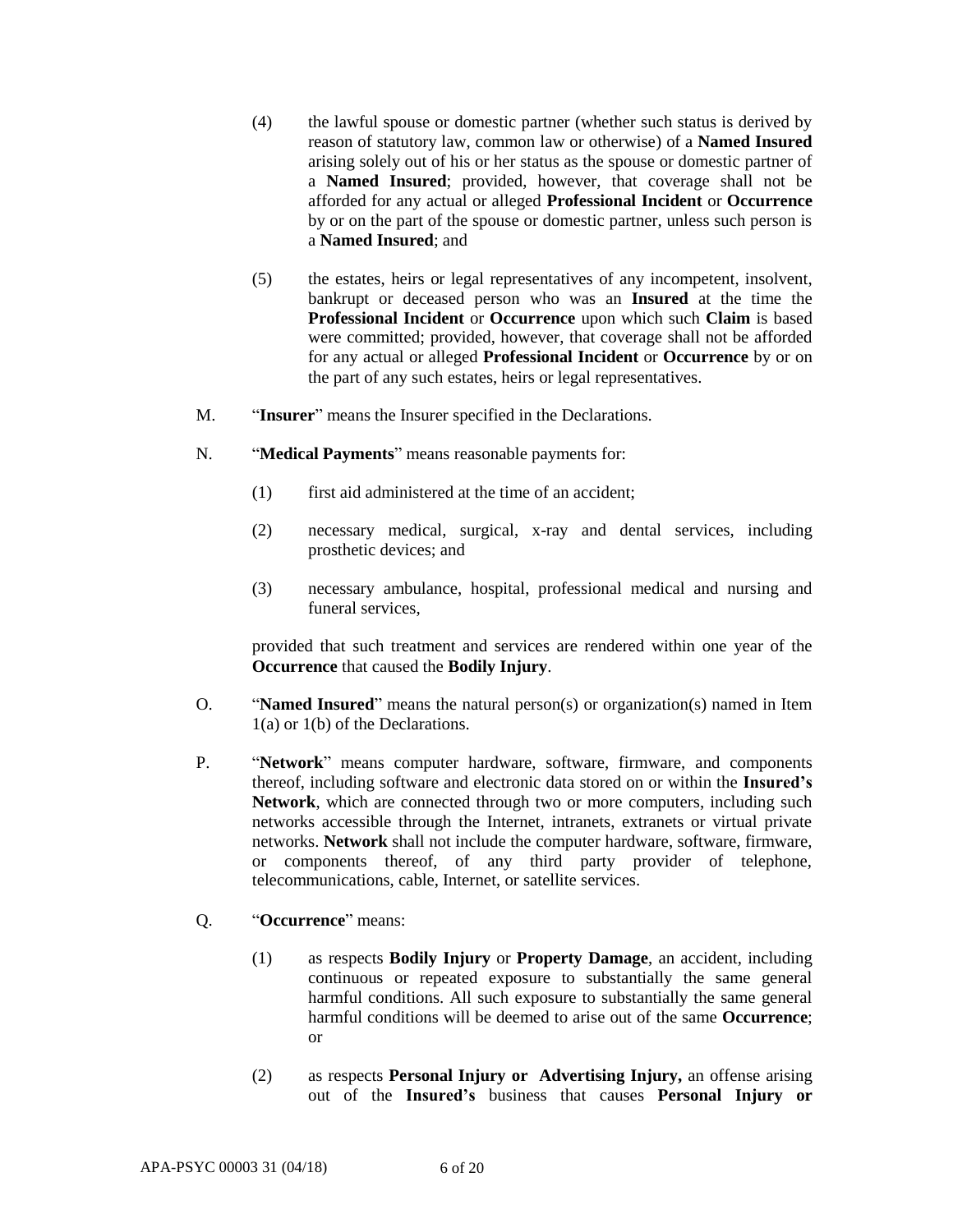- (4) the lawful spouse or domestic partner (whether such status is derived by reason of statutory law, common law or otherwise) of a **Named Insured**  arising solely out of his or her status as the spouse or domestic partner of a **Named Insured**; provided, however, that coverage shall not be afforded for any actual or alleged **Professional Incident** or **Occurrence** by or on the part of the spouse or domestic partner, unless such person is a **Named Insured**; and
- (5) the estates, heirs or legal representatives of any incompetent, insolvent, bankrupt or deceased person who was an **Insured** at the time the **Professional Incident** or **Occurrence** upon which such **Claim** is based were committed; provided, however, that coverage shall not be afforded for any actual or alleged **Professional Incident** or **Occurrence** by or on the part of any such estates, heirs or legal representatives.
- M. "**Insurer**" means the Insurer specified in the Declarations.
- N. "**Medical Payments**" means reasonable payments for:
	- (1) first aid administered at the time of an accident;
	- (2) necessary medical, surgical, x-ray and dental services, including prosthetic devices; and
	- (3) necessary ambulance, hospital, professional medical and nursing and funeral services,

provided that such treatment and services are rendered within one year of the **Occurrence** that caused the **Bodily Injury**.

- O. "**Named Insured**" means the natural person(s) or organization(s) named in Item 1(a) or 1(b) of the Declarations.
- P. "**Network**" means computer hardware, software, firmware, and components thereof, including software and electronic data stored on or within the **Insured's Network**, which are connected through two or more computers, including such networks accessible through the Internet, intranets, extranets or virtual private networks. **Network** shall not include the computer hardware, software, firmware, or components thereof, of any third party provider of telephone, telecommunications, cable, Internet, or satellite services.
- Q. "**Occurrence**" means:
	- (1) as respects **Bodily Injury** or **Property Damage**, an accident, including continuous or repeated exposure to substantially the same general harmful conditions. All such exposure to substantially the same general harmful conditions will be deemed to arise out of the same **Occurrence**; or
	- (2) as respects **Personal Injury or Advertising Injury,** an offense arising out of the **Insured's** business that causes **Personal Injury or**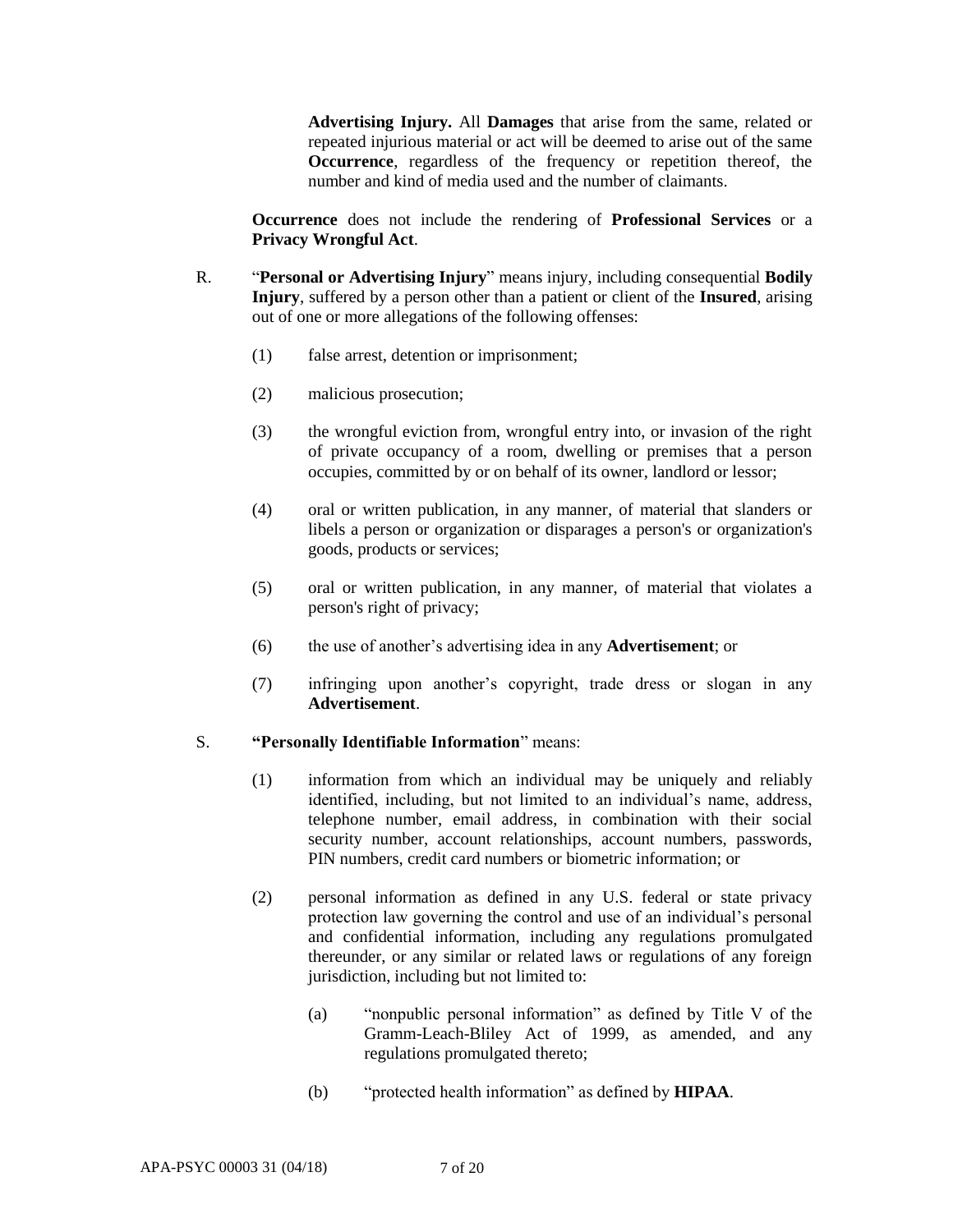**Advertising Injury.** All **Damages** that arise from the same, related or repeated injurious material or act will be deemed to arise out of the same **Occurrence**, regardless of the frequency or repetition thereof, the number and kind of media used and the number of claimants.

**Occurrence** does not include the rendering of **Professional Services** or a **Privacy Wrongful Act**.

- R. "**Personal or Advertising Injury**" means injury, including consequential **Bodily Injury**, suffered by a person other than a patient or client of the **Insured**, arising out of one or more allegations of the following offenses:
	- (1) false arrest, detention or imprisonment;
	- (2) malicious prosecution;
	- (3) the wrongful eviction from, wrongful entry into, or invasion of the right of private occupancy of a room, dwelling or premises that a person occupies, committed by or on behalf of its owner, landlord or lessor;
	- (4) oral or written publication, in any manner, of material that slanders or libels a person or organization or disparages a person's or organization's goods, products or services;
	- (5) oral or written publication, in any manner, of material that violates a person's right of privacy;
	- (6) the use of another's advertising idea in any **Advertisement**; or
	- (7) infringing upon another's copyright, trade dress or slogan in any **Advertisement**.

#### S. **"Personally Identifiable Information**" means:

- (1) information from which an individual may be uniquely and reliably identified, including, but not limited to an individual's name, address, telephone number, email address, in combination with their social security number, account relationships, account numbers, passwords, PIN numbers, credit card numbers or biometric information; or
- (2) personal information as defined in any U.S. federal or state privacy protection law governing the control and use of an individual's personal and confidential information, including any regulations promulgated thereunder, or any similar or related laws or regulations of any foreign jurisdiction, including but not limited to:
	- (a) "nonpublic personal information" as defined by Title V of the Gramm-Leach-Bliley Act of 1999, as amended, and any regulations promulgated thereto;
	- (b) "protected health information" as defined by **HIPAA**.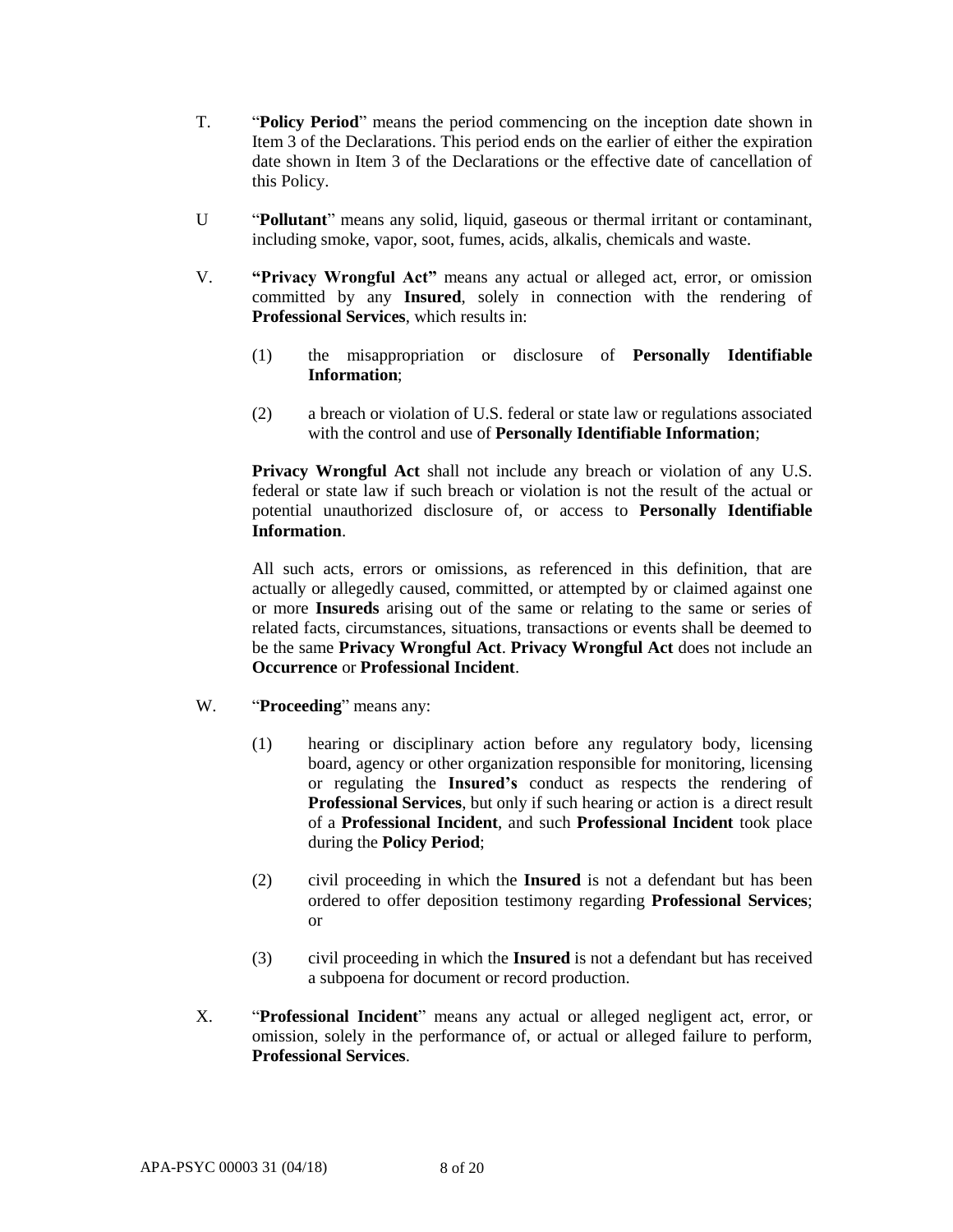- T. "**Policy Period**" means the period commencing on the inception date shown in Item 3 of the Declarations. This period ends on the earlier of either the expiration date shown in Item 3 of the Declarations or the effective date of cancellation of this Policy.
- U "**Pollutant**" means any solid, liquid, gaseous or thermal irritant or contaminant, including smoke, vapor, soot, fumes, acids, alkalis, chemicals and waste.
- V. **"Privacy Wrongful Act"** means any actual or alleged act, error, or omission committed by any **Insured**, solely in connection with the rendering of **Professional Services**, which results in:
	- (1) the misappropriation or disclosure of **Personally Identifiable Information**;
	- (2) a breach or violation of U.S. federal or state law or regulations associated with the control and use of **Personally Identifiable Information**;

**Privacy Wrongful Act** shall not include any breach or violation of any U.S. federal or state law if such breach or violation is not the result of the actual or potential unauthorized disclosure of, or access to **Personally Identifiable Information**.

All such acts, errors or omissions, as referenced in this definition, that are actually or allegedly caused, committed, or attempted by or claimed against one or more **Insureds** arising out of the same or relating to the same or series of related facts, circumstances, situations, transactions or events shall be deemed to be the same **Privacy Wrongful Act**. **Privacy Wrongful Act** does not include an **Occurrence** or **Professional Incident**.

- W. "**Proceeding**" means any:
	- (1) hearing or disciplinary action before any regulatory body, licensing board, agency or other organization responsible for monitoring, licensing or regulating the **Insured's** conduct as respects the rendering of **Professional Services**, but only if such hearing or action is a direct result of a **Professional Incident**, and such **Professional Incident** took place during the **Policy Period**;
	- (2) civil proceeding in which the **Insured** is not a defendant but has been ordered to offer deposition testimony regarding **Professional Services**; or
	- (3) civil proceeding in which the **Insured** is not a defendant but has received a subpoena for document or record production.
- X. "**Professional Incident**" means any actual or alleged negligent act, error, or omission, solely in the performance of, or actual or alleged failure to perform, **Professional Services**.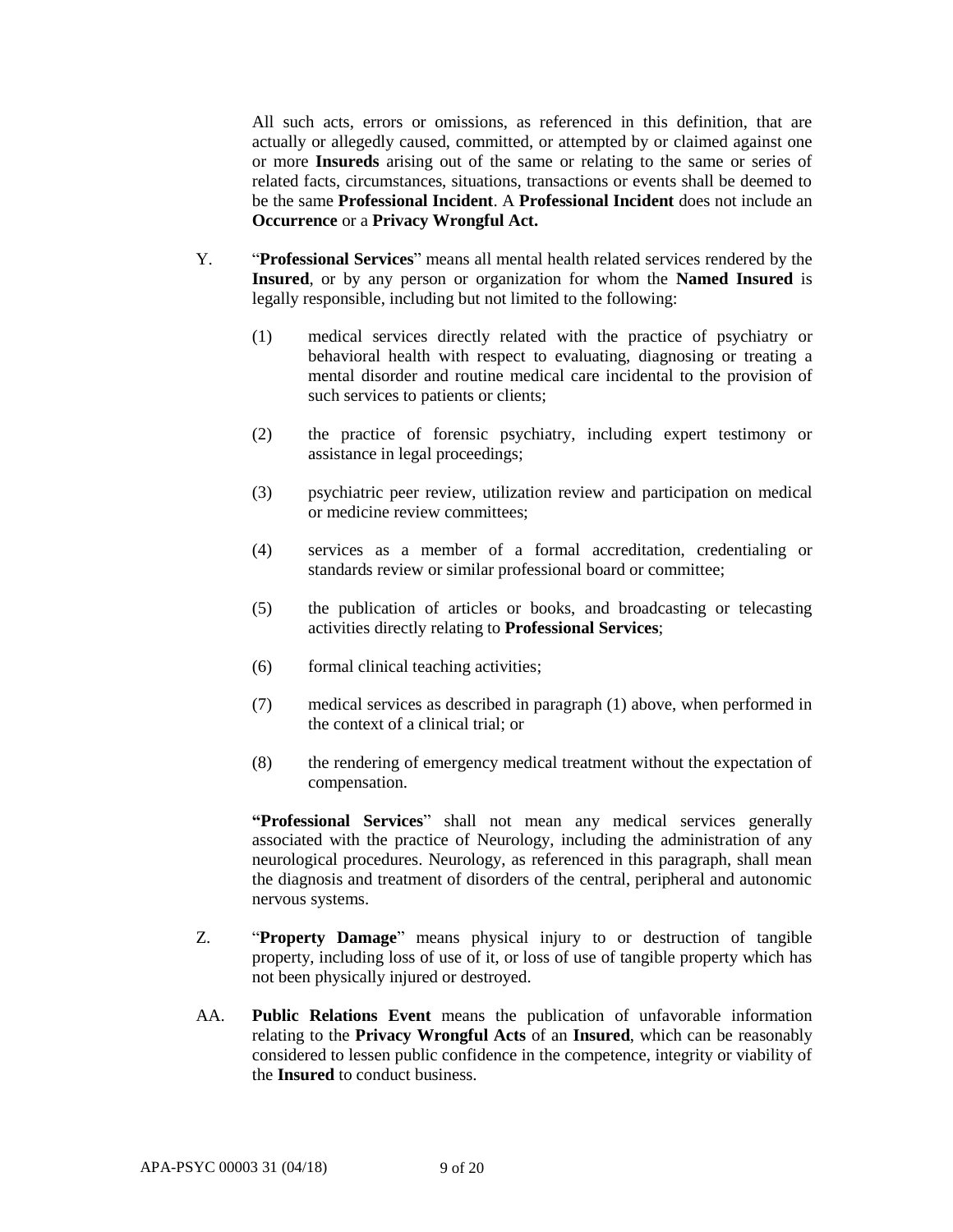All such acts, errors or omissions, as referenced in this definition, that are actually or allegedly caused, committed, or attempted by or claimed against one or more **Insureds** arising out of the same or relating to the same or series of related facts, circumstances, situations, transactions or events shall be deemed to be the same **Professional Incident**. A **Professional Incident** does not include an **Occurrence** or a **Privacy Wrongful Act.**

- Y. "**Professional Services**" means all mental health related services rendered by the **Insured**, or by any person or organization for whom the **Named Insured** is legally responsible, including but not limited to the following:
	- (1) medical services directly related with the practice of psychiatry or behavioral health with respect to evaluating, diagnosing or treating a mental disorder and routine medical care incidental to the provision of such services to patients or clients;
	- (2) the practice of forensic psychiatry, including expert testimony or assistance in legal proceedings;
	- (3) psychiatric peer review, utilization review and participation on medical or medicine review committees;
	- (4) services as a member of a formal accreditation, credentialing or standards review or similar professional board or committee;
	- (5) the publication of articles or books, and broadcasting or telecasting activities directly relating to **Professional Services**;
	- (6) formal clinical teaching activities;
	- (7) medical services as described in paragraph (1) above, when performed in the context of a clinical trial; or
	- (8) the rendering of emergency medical treatment without the expectation of compensation.

**"Professional Services**" shall not mean any medical services generally associated with the practice of Neurology, including the administration of any neurological procedures. Neurology, as referenced in this paragraph, shall mean the diagnosis and treatment of disorders of the central, peripheral and autonomic nervous systems.

- Z. "**Property Damage**" means physical injury to or destruction of tangible property, including loss of use of it, or loss of use of tangible property which has not been physically injured or destroyed.
- AA. **Public Relations Event** means the publication of unfavorable information relating to the **Privacy Wrongful Acts** of an **Insured**, which can be reasonably considered to lessen public confidence in the competence, integrity or viability of the **Insured** to conduct business.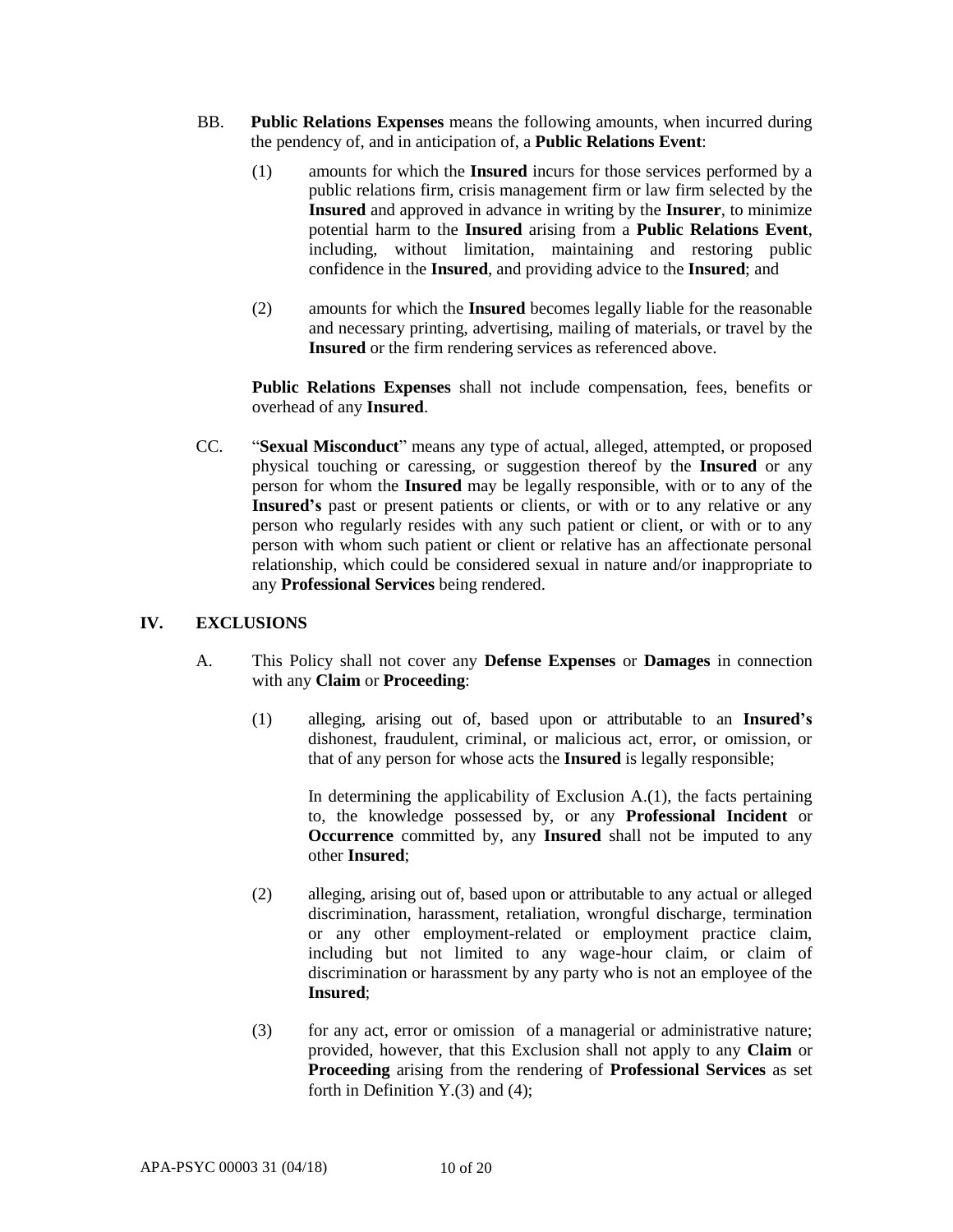- BB. **Public Relations Expenses** means the following amounts, when incurred during the pendency of, and in anticipation of, a **Public Relations Event**:
	- (1) amounts for which the **Insured** incurs for those services performed by a public relations firm, crisis management firm or law firm selected by the **Insured** and approved in advance in writing by the **Insurer**, to minimize potential harm to the **Insured** arising from a **Public Relations Event**, including, without limitation, maintaining and restoring public confidence in the **Insured**, and providing advice to the **Insured**; and
	- (2) amounts for which the **Insured** becomes legally liable for the reasonable and necessary printing, advertising, mailing of materials, or travel by the **Insured** or the firm rendering services as referenced above.

**Public Relations Expenses** shall not include compensation, fees, benefits or overhead of any **Insured**.

CC. "**Sexual Misconduct**" means any type of actual, alleged, attempted, or proposed physical touching or caressing, or suggestion thereof by the **Insured** or any person for whom the **Insured** may be legally responsible, with or to any of the **Insured's** past or present patients or clients, or with or to any relative or any person who regularly resides with any such patient or client, or with or to any person with whom such patient or client or relative has an affectionate personal relationship, which could be considered sexual in nature and/or inappropriate to any **Professional Services** being rendered.

### **IV. EXCLUSIONS**

- A. This Policy shall not cover any **Defense Expenses** or **Damages** in connection with any **Claim** or **Proceeding**:
	- (1) alleging, arising out of, based upon or attributable to an **Insured's** dishonest, fraudulent, criminal, or malicious act, error, or omission, or that of any person for whose acts the **Insured** is legally responsible;

In determining the applicability of Exclusion  $A(1)$ , the facts pertaining to, the knowledge possessed by, or any **Professional Incident** or **Occurrence** committed by, any **Insured** shall not be imputed to any other **Insured**;

- (2) alleging, arising out of, based upon or attributable to any actual or alleged discrimination, harassment, retaliation, wrongful discharge, termination or any other employment-related or employment practice claim, including but not limited to any wage-hour claim, or claim of discrimination or harassment by any party who is not an employee of the **Insured**;
- (3) for any act, error or omission of a managerial or administrative nature; provided, however, that this Exclusion shall not apply to any **Claim** or **Proceeding** arising from the rendering of **Professional Services** as set forth in Definition Y.(3) and (4);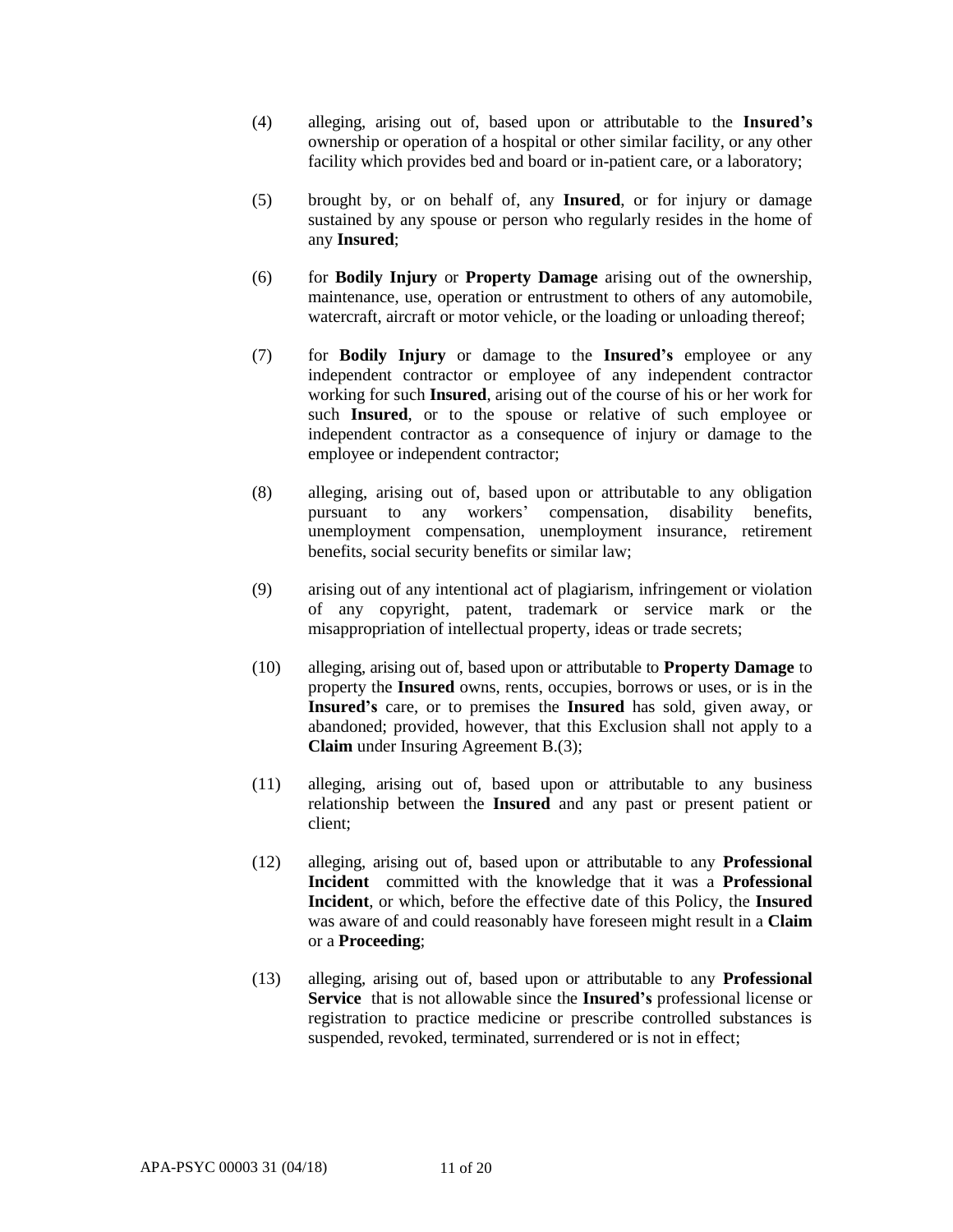- (4) alleging, arising out of, based upon or attributable to the **Insured's** ownership or operation of a hospital or other similar facility, or any other facility which provides bed and board or in-patient care, or a laboratory;
- (5) brought by, or on behalf of, any **Insured**, or for injury or damage sustained by any spouse or person who regularly resides in the home of any **Insured**;
- (6) for **Bodily Injury** or **Property Damage** arising out of the ownership, maintenance, use, operation or entrustment to others of any automobile, watercraft, aircraft or motor vehicle, or the loading or unloading thereof;
- (7) for **Bodily Injury** or damage to the **Insured's** employee or any independent contractor or employee of any independent contractor working for such **Insured**, arising out of the course of his or her work for such **Insured**, or to the spouse or relative of such employee or independent contractor as a consequence of injury or damage to the employee or independent contractor;
- (8) alleging, arising out of, based upon or attributable to any obligation pursuant to any workers' compensation, disability benefits, unemployment compensation, unemployment insurance, retirement benefits, social security benefits or similar law;
- (9) arising out of any intentional act of plagiarism, infringement or violation of any copyright, patent, trademark or service mark or the misappropriation of intellectual property, ideas or trade secrets;
- (10) alleging, arising out of, based upon or attributable to **Property Damage** to property the **Insured** owns, rents, occupies, borrows or uses, or is in the **Insured's** care, or to premises the **Insured** has sold, given away, or abandoned; provided, however, that this Exclusion shall not apply to a **Claim** under Insuring Agreement B.(3);
- (11) alleging, arising out of, based upon or attributable to any business relationship between the **Insured** and any past or present patient or client;
- (12) alleging, arising out of, based upon or attributable to any **Professional Incident** committed with the knowledge that it was a **Professional Incident**, or which, before the effective date of this Policy, the **Insured** was aware of and could reasonably have foreseen might result in a **Claim** or a **Proceeding**;
- (13) alleging, arising out of, based upon or attributable to any **Professional Service** that is not allowable since the **Insured's** professional license or registration to practice medicine or prescribe controlled substances is suspended, revoked, terminated, surrendered or is not in effect;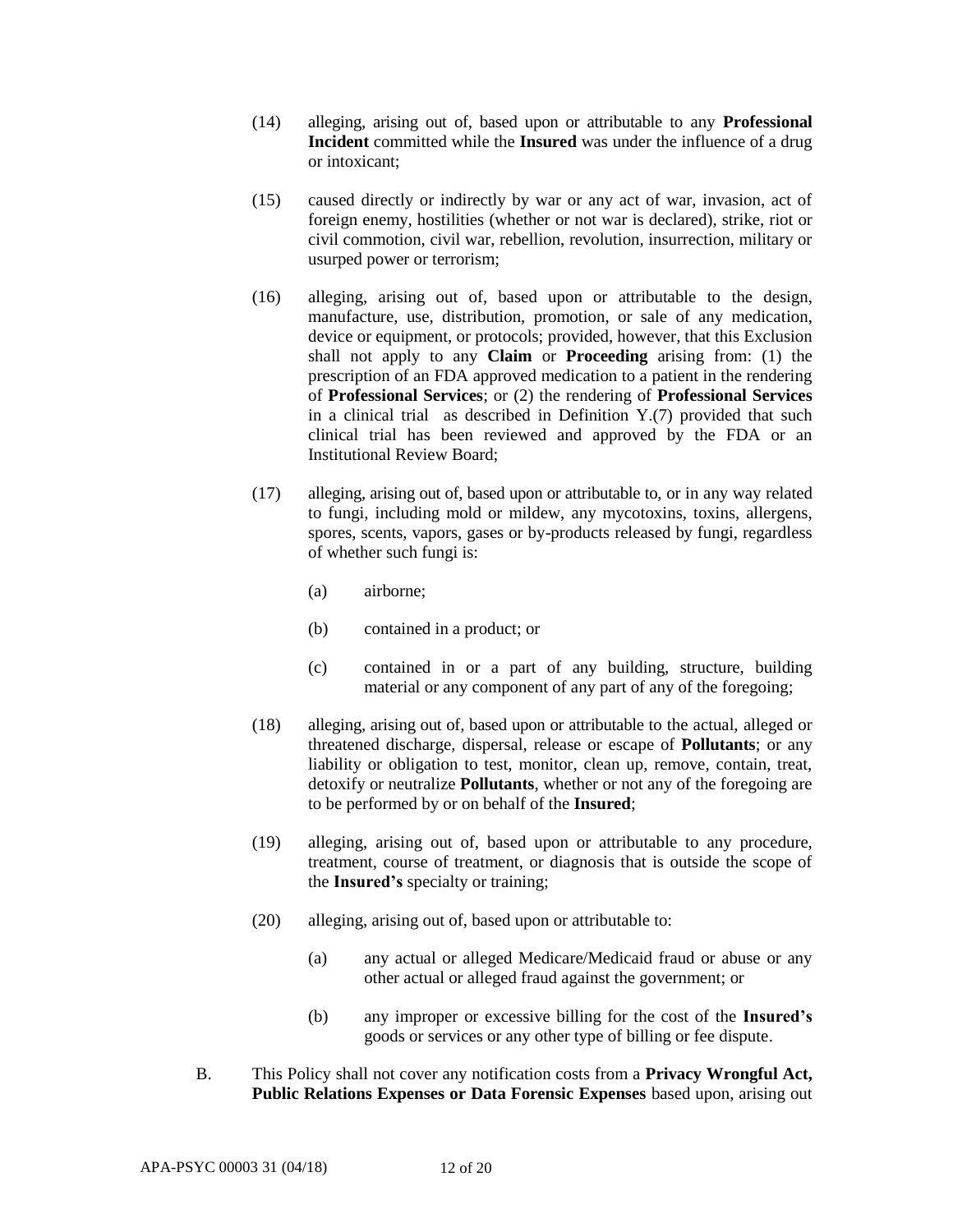- (14) alleging, arising out of, based upon or attributable to any **Professional Incident** committed while the **Insured** was under the influence of a drug or intoxicant;
- (15) caused directly or indirectly by war or any act of war, invasion, act of foreign enemy, hostilities (whether or not war is declared), strike, riot or civil commotion, civil war, rebellion, revolution, insurrection, military or usurped power or terrorism;
- (16) alleging, arising out of, based upon or attributable to the design, manufacture, use, distribution, promotion, or sale of any medication, device or equipment, or protocols; provided, however, that this Exclusion shall not apply to any **Claim** or **Proceeding** arising from: (1) the prescription of an FDA approved medication to a patient in the rendering of **Professional Services**; or (2) the rendering of **Professional Services** in a clinical trial as described in Definition Y.(7) provided that such clinical trial has been reviewed and approved by the FDA or an Institutional Review Board;
- (17) alleging, arising out of, based upon or attributable to, or in any way related to fungi, including mold or mildew, any mycotoxins, toxins, allergens, spores, scents, vapors, gases or by-products released by fungi, regardless of whether such fungi is:
	- (a) airborne;
	- (b) contained in a product; or
	- (c) contained in or a part of any building, structure, building material or any component of any part of any of the foregoing;
- (18) alleging, arising out of, based upon or attributable to the actual, alleged or threatened discharge, dispersal, release or escape of **Pollutants**; or any liability or obligation to test, monitor, clean up, remove, contain, treat, detoxify or neutralize **Pollutants**, whether or not any of the foregoing are to be performed by or on behalf of the **Insured**;
- (19) alleging, arising out of, based upon or attributable to any procedure, treatment, course of treatment, or diagnosis that is outside the scope of the **Insured's** specialty or training;
- (20) alleging, arising out of, based upon or attributable to:
	- (a) any actual or alleged Medicare/Medicaid fraud or abuse or any other actual or alleged fraud against the government; or
	- (b) any improper or excessive billing for the cost of the **Insured's** goods or services or any other type of billing or fee dispute.
- B. This Policy shall not cover any notification costs from a **Privacy Wrongful Act, Public Relations Expenses or Data Forensic Expenses** based upon, arising out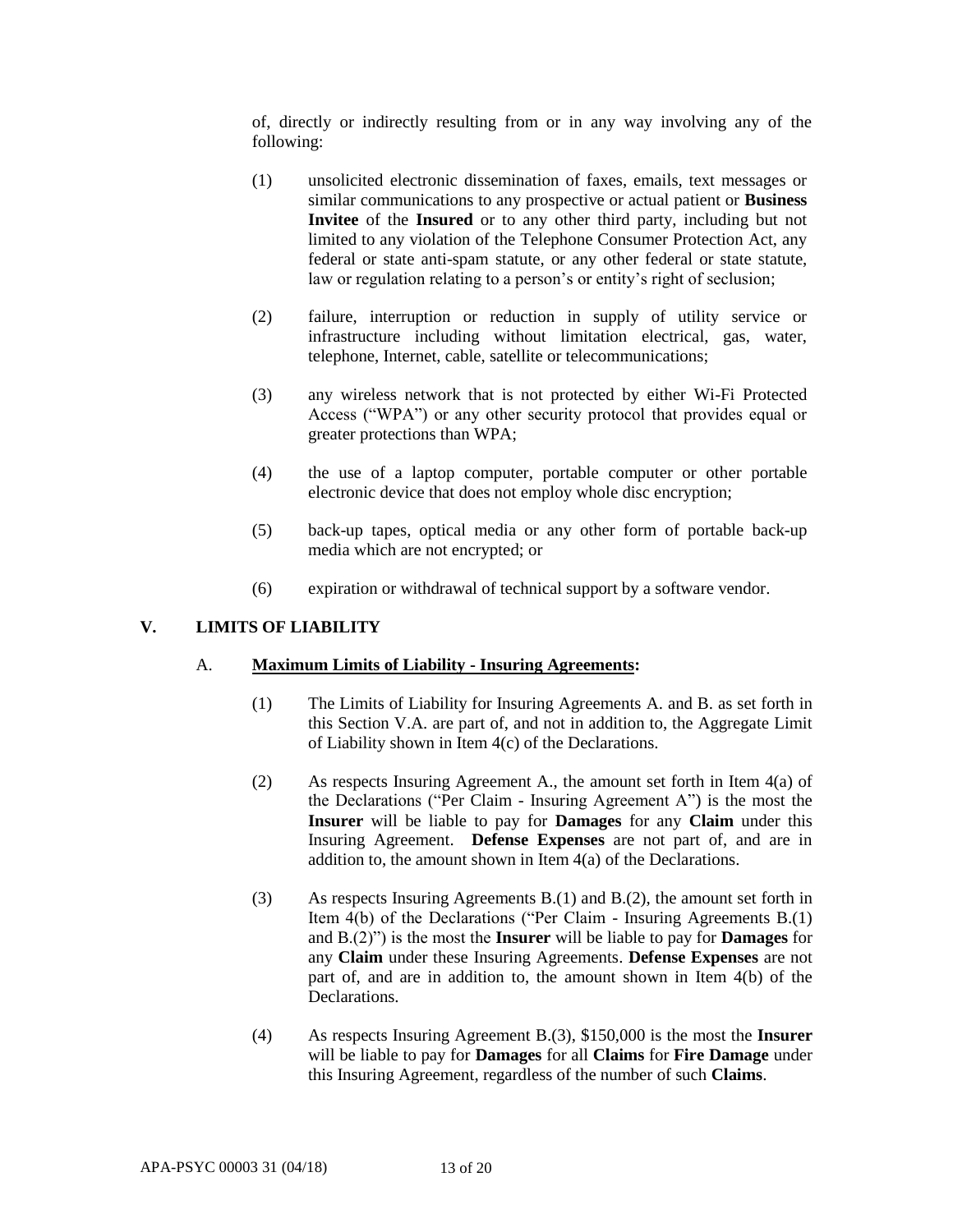of, directly or indirectly resulting from or in any way involving any of the following:

- (1) unsolicited electronic dissemination of faxes, emails, text messages or similar communications to any prospective or actual patient or **Business Invitee** of the **Insured** or to any other third party, including but not limited to any violation of the Telephone Consumer Protection Act, any federal or state anti-spam statute, or any other federal or state statute, law or regulation relating to a person's or entity's right of seclusion;
- (2) failure, interruption or reduction in supply of utility service or infrastructure including without limitation electrical, gas, water, telephone, Internet, cable, satellite or telecommunications;
- (3) any wireless network that is not protected by either Wi-Fi Protected Access ("WPA") or any other security protocol that provides equal or greater protections than WPA;
- (4) the use of a laptop computer, portable computer or other portable electronic device that does not employ whole disc encryption;
- (5) back-up tapes, optical media or any other form of portable back-up media which are not encrypted; or
- (6) expiration or withdrawal of technical support by a software vendor.

# **V. LIMITS OF LIABILITY**

### A. **Maximum Limits of Liability - Insuring Agreements:**

- (1) The Limits of Liability for Insuring Agreements A. and B. as set forth in this Section V.A. are part of, and not in addition to, the Aggregate Limit of Liability shown in Item 4(c) of the Declarations.
- (2) As respects Insuring Agreement A., the amount set forth in Item 4(a) of the Declarations ("Per Claim - Insuring Agreement A") is the most the **Insurer** will be liable to pay for **Damages** for any **Claim** under this Insuring Agreement. **Defense Expenses** are not part of, and are in addition to, the amount shown in Item 4(a) of the Declarations.
- (3) As respects Insuring Agreements B.(1) and B.(2), the amount set forth in Item 4(b) of the Declarations ("Per Claim - Insuring Agreements B.(1) and B.(2)") is the most the **Insurer** will be liable to pay for **Damages** for any **Claim** under these Insuring Agreements. **Defense Expenses** are not part of, and are in addition to, the amount shown in Item 4(b) of the **Declarations**
- (4) As respects Insuring Agreement B.(3), \$150,000 is the most the **Insurer**  will be liable to pay for **Damages** for all **Claims** for **Fire Damage** under this Insuring Agreement, regardless of the number of such **Claims**.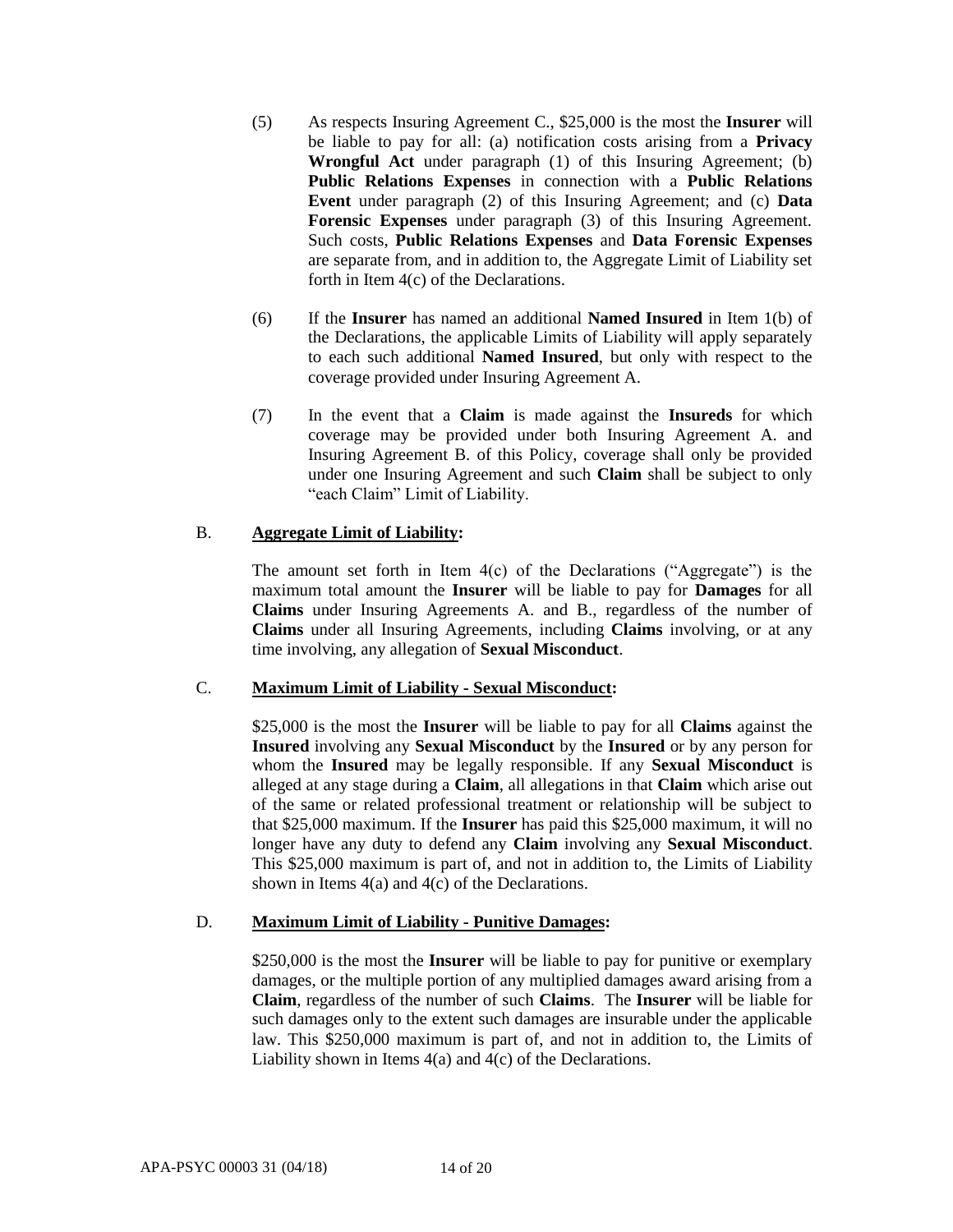- (5) As respects Insuring Agreement C., \$25,000 is the most the **Insurer** will be liable to pay for all: (a) notification costs arising from a **Privacy Wrongful Act** under paragraph (1) of this Insuring Agreement; (b) **Public Relations Expenses** in connection with a **Public Relations Event** under paragraph (2) of this Insuring Agreement; and (c) **Data Forensic Expenses** under paragraph (3) of this Insuring Agreement. Such costs, **Public Relations Expenses** and **Data Forensic Expenses**  are separate from, and in addition to, the Aggregate Limit of Liability set forth in Item 4(c) of the Declarations.
- (6) If the **Insurer** has named an additional **Named Insured** in Item 1(b) of the Declarations, the applicable Limits of Liability will apply separately to each such additional **Named Insured**, but only with respect to the coverage provided under Insuring Agreement A.
- (7) In the event that a **Claim** is made against the **Insureds** for which coverage may be provided under both Insuring Agreement A. and Insuring Agreement B. of this Policy, coverage shall only be provided under one Insuring Agreement and such **Claim** shall be subject to only "each Claim" Limit of Liability.

# B. **Aggregate Limit of Liability:**

The amount set forth in Item  $4(c)$  of the Declarations ("Aggregate") is the maximum total amount the **Insurer** will be liable to pay for **Damages** for all **Claims** under Insuring Agreements A. and B., regardless of the number of **Claims** under all Insuring Agreements, including **Claims** involving, or at any time involving, any allegation of **Sexual Misconduct**.

# C. **Maximum Limit of Liability - Sexual Misconduct:**

\$25,000 is the most the **Insurer** will be liable to pay for all **Claims** against the **Insured** involving any **Sexual Misconduct** by the **Insured** or by any person for whom the **Insured** may be legally responsible. If any **Sexual Misconduct** is alleged at any stage during a **Claim**, all allegations in that **Claim** which arise out of the same or related professional treatment or relationship will be subject to that \$25,000 maximum. If the **Insurer** has paid this \$25,000 maximum, it will no longer have any duty to defend any **Claim** involving any **Sexual Misconduct**. This \$25,000 maximum is part of, and not in addition to, the Limits of Liability shown in Items 4(a) and 4(c) of the Declarations.

# D. **Maximum Limit of Liability - Punitive Damages:**

\$250,000 is the most the **Insurer** will be liable to pay for punitive or exemplary damages, or the multiple portion of any multiplied damages award arising from a **Claim**, regardless of the number of such **Claims**. The **Insurer** will be liable for such damages only to the extent such damages are insurable under the applicable law. This \$250,000 maximum is part of, and not in addition to, the Limits of Liability shown in Items 4(a) and 4(c) of the Declarations.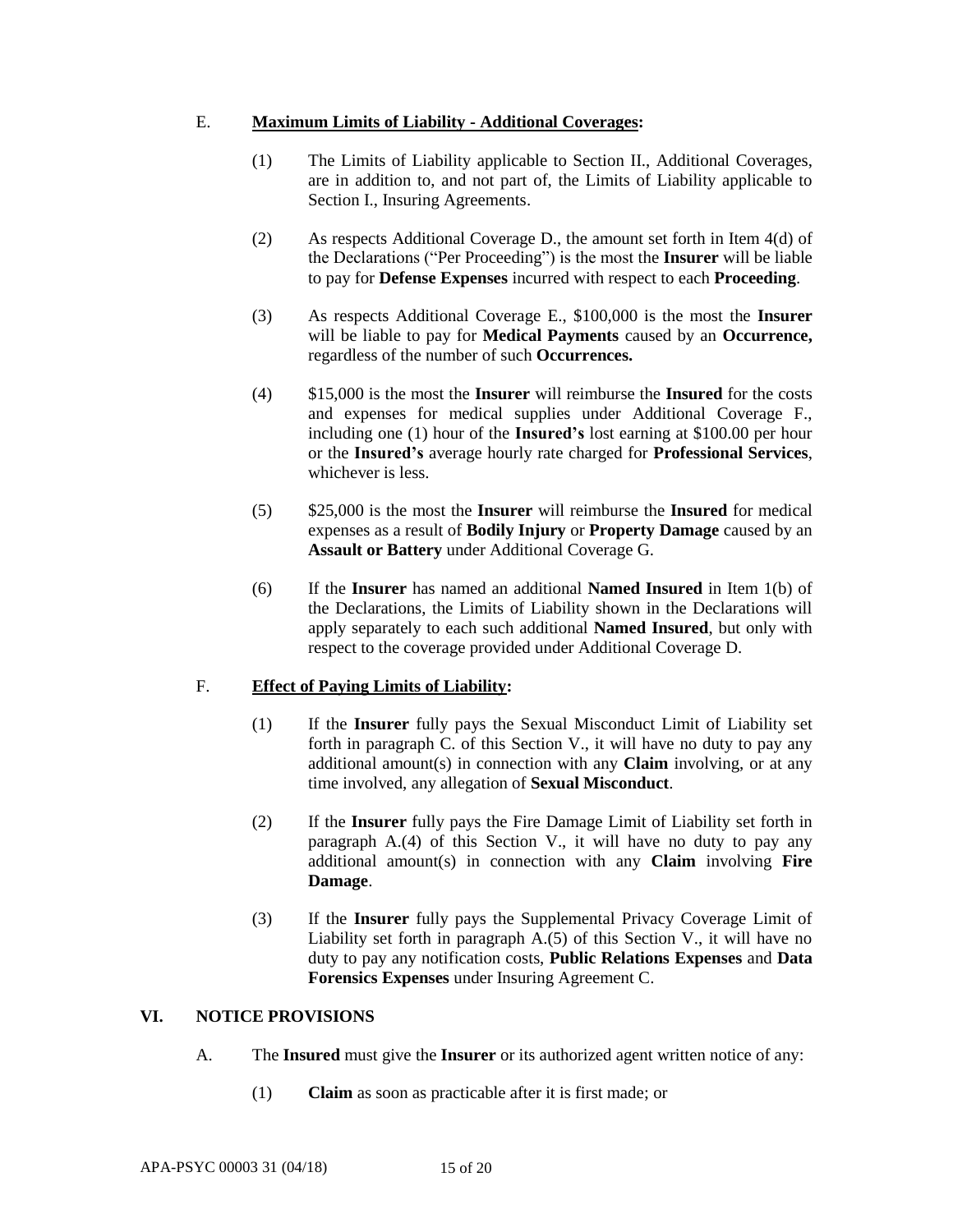### E. **Maximum Limits of Liability - Additional Coverages:**

- (1) The Limits of Liability applicable to Section II., Additional Coverages, are in addition to, and not part of, the Limits of Liability applicable to Section I., Insuring Agreements.
- (2) As respects Additional Coverage D., the amount set forth in Item 4(d) of the Declarations ("Per Proceeding") is the most the **Insurer** will be liable to pay for **Defense Expenses** incurred with respect to each **Proceeding**.
- (3) As respects Additional Coverage E., \$100,000 is the most the **Insurer**  will be liable to pay for **Medical Payments** caused by an **Occurrence,**  regardless of the number of such **Occurrences.**
- (4) \$15,000 is the most the **Insurer** will reimburse the **Insured** for the costs and expenses for medical supplies under Additional Coverage F., including one (1) hour of the **Insured's** lost earning at \$100.00 per hour or the **Insured's** average hourly rate charged for **Professional Services**, whichever is less.
- (5) \$25,000 is the most the **Insurer** will reimburse the **Insured** for medical expenses as a result of **Bodily Injury** or **Property Damage** caused by an **Assault or Battery** under Additional Coverage G.
- (6) If the **Insurer** has named an additional **Named Insured** in Item 1(b) of the Declarations, the Limits of Liability shown in the Declarations will apply separately to each such additional **Named Insured**, but only with respect to the coverage provided under Additional Coverage D.

# F. **Effect of Paying Limits of Liability:**

- (1) If the **Insurer** fully pays the Sexual Misconduct Limit of Liability set forth in paragraph C. of this Section V., it will have no duty to pay any additional amount(s) in connection with any **Claim** involving, or at any time involved, any allegation of **Sexual Misconduct**.
- (2) If the **Insurer** fully pays the Fire Damage Limit of Liability set forth in paragraph A.(4) of this Section V., it will have no duty to pay any additional amount(s) in connection with any **Claim** involving **Fire Damage**.
- (3) If the **Insurer** fully pays the Supplemental Privacy Coverage Limit of Liability set forth in paragraph A.(5) of this Section V., it will have no duty to pay any notification costs, **Public Relations Expenses** and **Data Forensics Expenses** under Insuring Agreement C.

# **VI. NOTICE PROVISIONS**

- A. The **Insured** must give the **Insurer** or its authorized agent written notice of any:
	- (1) **Claim** as soon as practicable after it is first made; or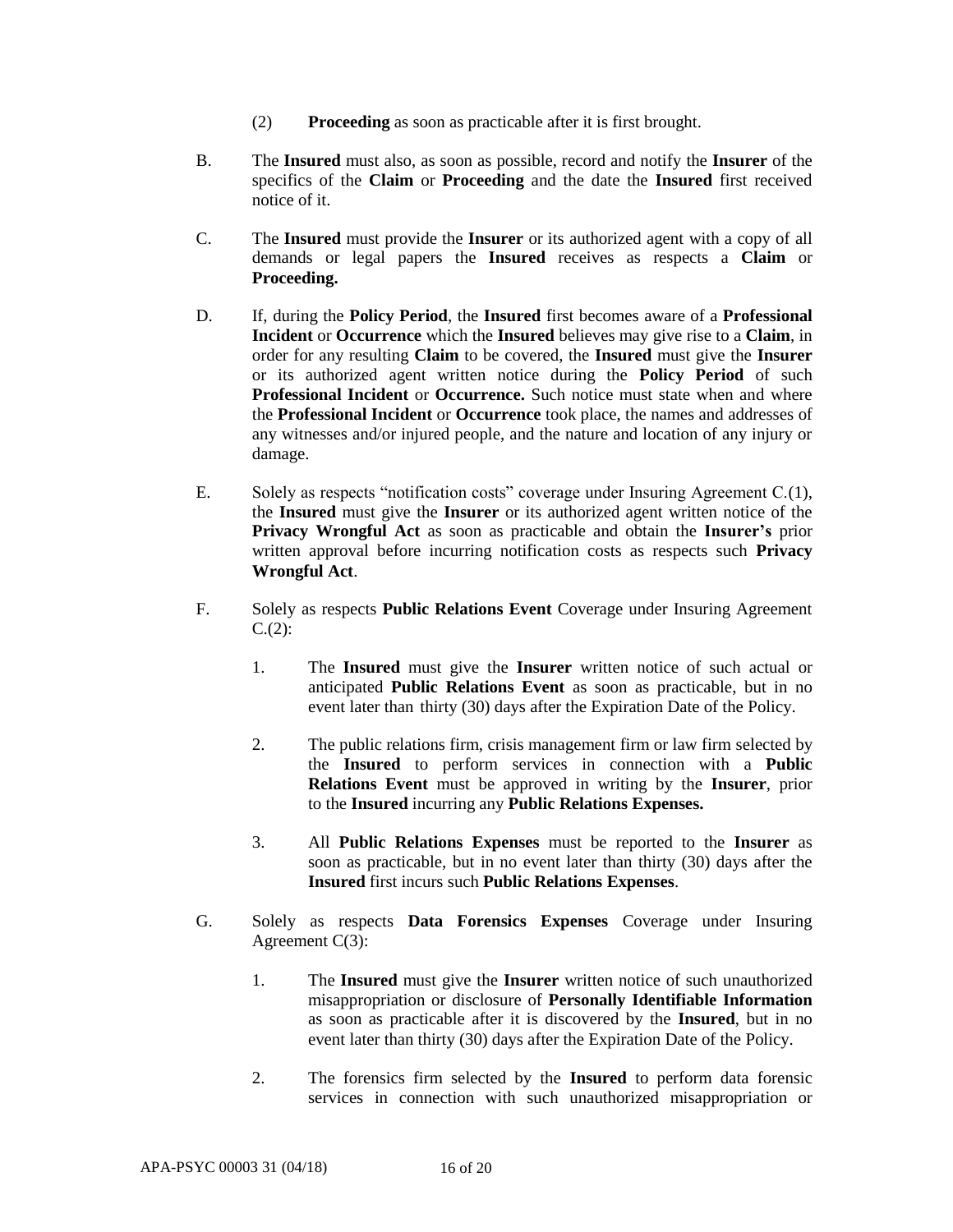- (2) **Proceeding** as soon as practicable after it is first brought.
- B. The **Insured** must also, as soon as possible, record and notify the **Insurer** of the specifics of the **Claim** or **Proceeding** and the date the **Insured** first received notice of it.
- C. The **Insured** must provide the **Insurer** or its authorized agent with a copy of all demands or legal papers the **Insured** receives as respects a **Claim** or **Proceeding.**
- D. If, during the **Policy Period**, the **Insured** first becomes aware of a **Professional Incident** or **Occurrence** which the **Insured** believes may give rise to a **Claim**, in order for any resulting **Claim** to be covered, the **Insured** must give the **Insurer** or its authorized agent written notice during the **Policy Period** of such **Professional Incident** or **Occurrence.** Such notice must state when and where the **Professional Incident** or **Occurrence** took place, the names and addresses of any witnesses and/or injured people, and the nature and location of any injury or damage.
- E. Solely as respects "notification costs" coverage under Insuring Agreement C.(1), the **Insured** must give the **Insurer** or its authorized agent written notice of the **Privacy Wrongful Act** as soon as practicable and obtain the **Insurer's** prior written approval before incurring notification costs as respects such **Privacy Wrongful Act**.
- F. Solely as respects **Public Relations Event** Coverage under Insuring Agreement  $C.(2)$ :
	- 1. The **Insured** must give the **Insurer** written notice of such actual or anticipated **Public Relations Event** as soon as practicable, but in no event later than thirty (30) days after the Expiration Date of the Policy.
	- 2. The public relations firm, crisis management firm or law firm selected by the **Insured** to perform services in connection with a **Public Relations Event** must be approved in writing by the **Insurer**, prior to the **Insured** incurring any **Public Relations Expenses.**
	- 3. All **Public Relations Expenses** must be reported to the **Insurer** as soon as practicable, but in no event later than thirty (30) days after the **Insured** first incurs such **Public Relations Expenses**.
- G. Solely as respects **Data Forensics Expenses** Coverage under Insuring Agreement C(3):
	- 1. The **Insured** must give the **Insurer** written notice of such unauthorized misappropriation or disclosure of **Personally Identifiable Information** as soon as practicable after it is discovered by the **Insured**, but in no event later than thirty (30) days after the Expiration Date of the Policy.
	- 2. The forensics firm selected by the **Insured** to perform data forensic services in connection with such unauthorized misappropriation or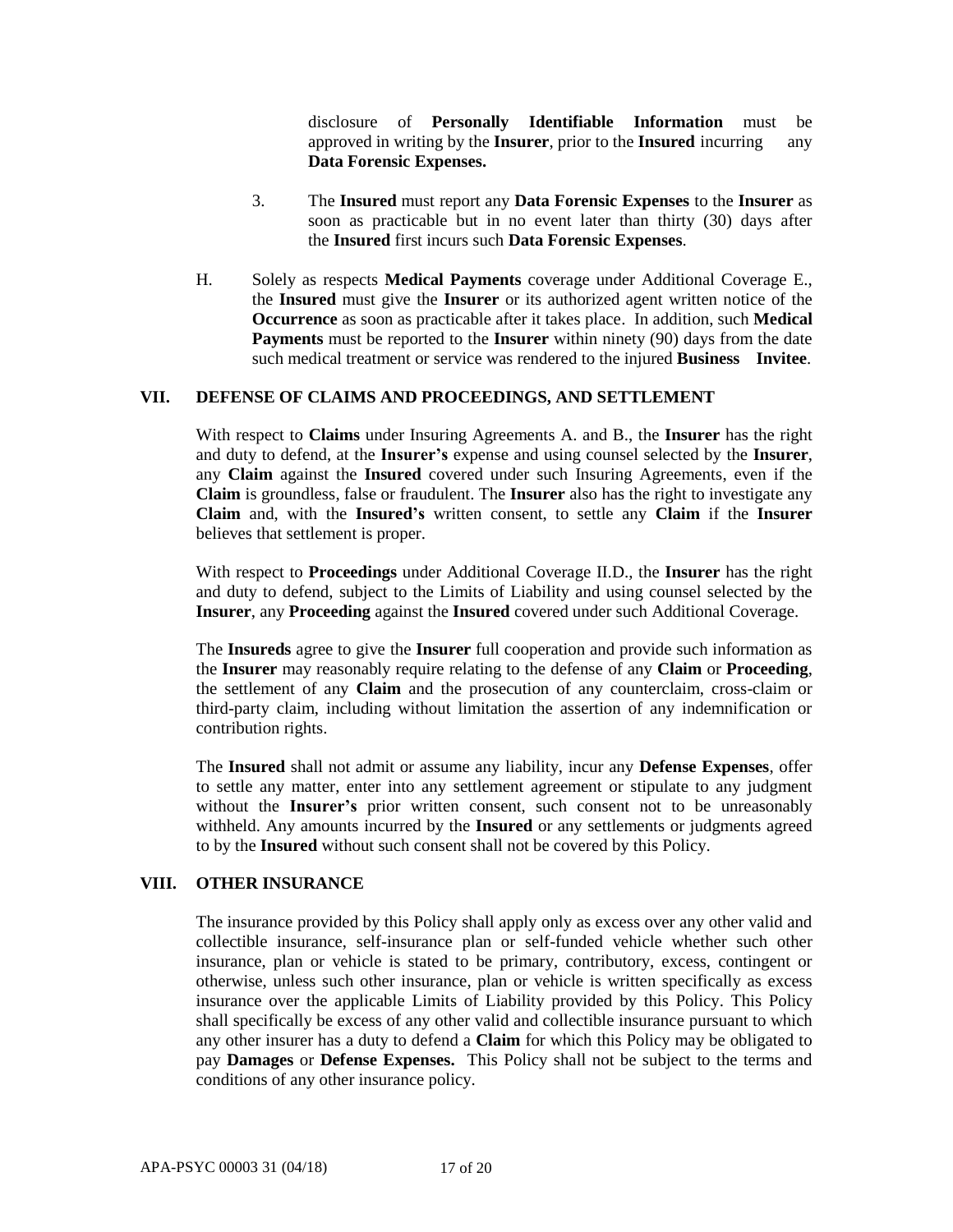disclosure of **Personally Identifiable Information** must be approved in writing by the **Insurer**, prior to the **Insured** incurring any **Data Forensic Expenses.**

- 3. The **Insured** must report any **Data Forensic Expenses** to the **Insurer** as soon as practicable but in no event later than thirty (30) days after the **Insured** first incurs such **Data Forensic Expenses**.
- H. Solely as respects **Medical Payments** coverage under Additional Coverage E., the **Insured** must give the **Insurer** or its authorized agent written notice of the **Occurrence** as soon as practicable after it takes place. In addition, such **Medical Payments** must be reported to the **Insurer** within ninety (90) days from the date such medical treatment or service was rendered to the injured **Business Invitee**.

### **VII. DEFENSE OF CLAIMS AND PROCEEDINGS, AND SETTLEMENT**

With respect to **Claims** under Insuring Agreements A. and B., the **Insurer** has the right and duty to defend, at the **Insurer's** expense and using counsel selected by the **Insurer**, any **Claim** against the **Insured** covered under such Insuring Agreements, even if the **Claim** is groundless, false or fraudulent. The **Insurer** also has the right to investigate any **Claim** and, with the **Insured's** written consent, to settle any **Claim** if the **Insurer**  believes that settlement is proper.

With respect to **Proceedings** under Additional Coverage II.D., the **Insurer** has the right and duty to defend, subject to the Limits of Liability and using counsel selected by the **Insurer**, any **Proceeding** against the **Insured** covered under such Additional Coverage.

The **Insureds** agree to give the **Insurer** full cooperation and provide such information as the **Insurer** may reasonably require relating to the defense of any **Claim** or **Proceeding**, the settlement of any **Claim** and the prosecution of any counterclaim, cross-claim or third-party claim, including without limitation the assertion of any indemnification or contribution rights.

The **Insured** shall not admit or assume any liability, incur any **Defense Expenses**, offer to settle any matter, enter into any settlement agreement or stipulate to any judgment without the **Insurer's** prior written consent, such consent not to be unreasonably withheld. Any amounts incurred by the **Insured** or any settlements or judgments agreed to by the **Insured** without such consent shall not be covered by this Policy.

#### **VIII. OTHER INSURANCE**

The insurance provided by this Policy shall apply only as excess over any other valid and collectible insurance, self-insurance plan or self-funded vehicle whether such other insurance, plan or vehicle is stated to be primary, contributory, excess, contingent or otherwise, unless such other insurance, plan or vehicle is written specifically as excess insurance over the applicable Limits of Liability provided by this Policy. This Policy shall specifically be excess of any other valid and collectible insurance pursuant to which any other insurer has a duty to defend a **Claim** for which this Policy may be obligated to pay **Damages** or **Defense Expenses.** This Policy shall not be subject to the terms and conditions of any other insurance policy.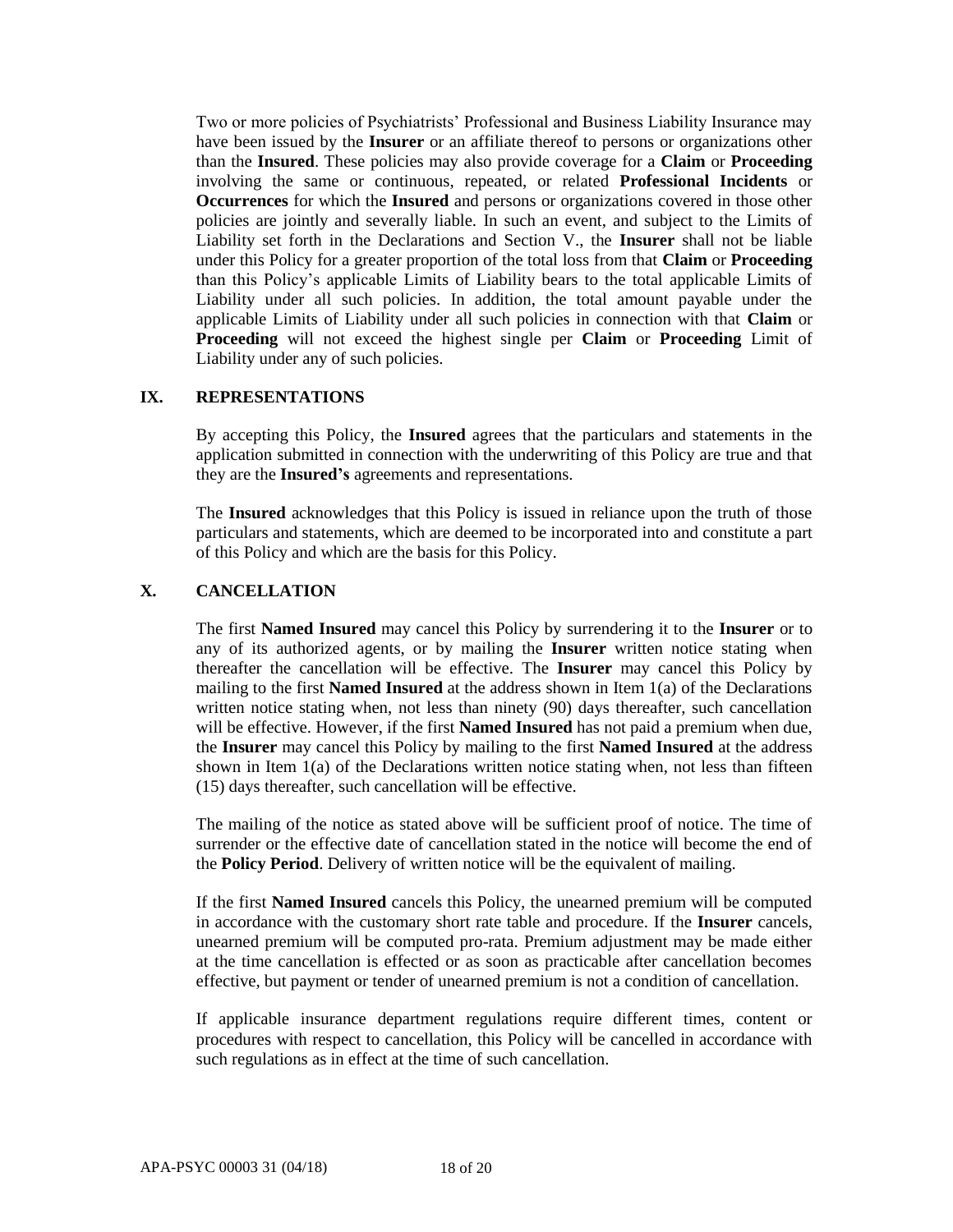Two or more policies of Psychiatrists' Professional and Business Liability Insurance may have been issued by the **Insurer** or an affiliate thereof to persons or organizations other than the **Insured**. These policies may also provide coverage for a **Claim** or **Proceeding** involving the same or continuous, repeated, or related **Professional Incidents** or **Occurrences** for which the **Insured** and persons or organizations covered in those other policies are jointly and severally liable. In such an event, and subject to the Limits of Liability set forth in the Declarations and Section V., the **Insurer** shall not be liable under this Policy for a greater proportion of the total loss from that **Claim** or **Proceeding** than this Policy's applicable Limits of Liability bears to the total applicable Limits of Liability under all such policies. In addition, the total amount payable under the applicable Limits of Liability under all such policies in connection with that **Claim** or **Proceeding** will not exceed the highest single per **Claim** or **Proceeding** Limit of Liability under any of such policies.

### **IX. REPRESENTATIONS**

By accepting this Policy, the **Insured** agrees that the particulars and statements in the application submitted in connection with the underwriting of this Policy are true and that they are the **Insured's** agreements and representations.

The **Insured** acknowledges that this Policy is issued in reliance upon the truth of those particulars and statements, which are deemed to be incorporated into and constitute a part of this Policy and which are the basis for this Policy.

# **X. CANCELLATION**

The first **Named Insured** may cancel this Policy by surrendering it to the **Insurer** or to any of its authorized agents, or by mailing the **Insurer** written notice stating when thereafter the cancellation will be effective. The **Insurer** may cancel this Policy by mailing to the first **Named Insured** at the address shown in Item 1(a) of the Declarations written notice stating when, not less than ninety (90) days thereafter, such cancellation will be effective. However, if the first **Named Insured** has not paid a premium when due, the **Insurer** may cancel this Policy by mailing to the first **Named Insured** at the address shown in Item  $1(a)$  of the Declarations written notice stating when, not less than fifteen (15) days thereafter, such cancellation will be effective.

The mailing of the notice as stated above will be sufficient proof of notice. The time of surrender or the effective date of cancellation stated in the notice will become the end of the **Policy Period**. Delivery of written notice will be the equivalent of mailing.

If the first **Named Insured** cancels this Policy, the unearned premium will be computed in accordance with the customary short rate table and procedure. If the **Insurer** cancels, unearned premium will be computed pro-rata. Premium adjustment may be made either at the time cancellation is effected or as soon as practicable after cancellation becomes effective, but payment or tender of unearned premium is not a condition of cancellation.

If applicable insurance department regulations require different times, content or procedures with respect to cancellation, this Policy will be cancelled in accordance with such regulations as in effect at the time of such cancellation.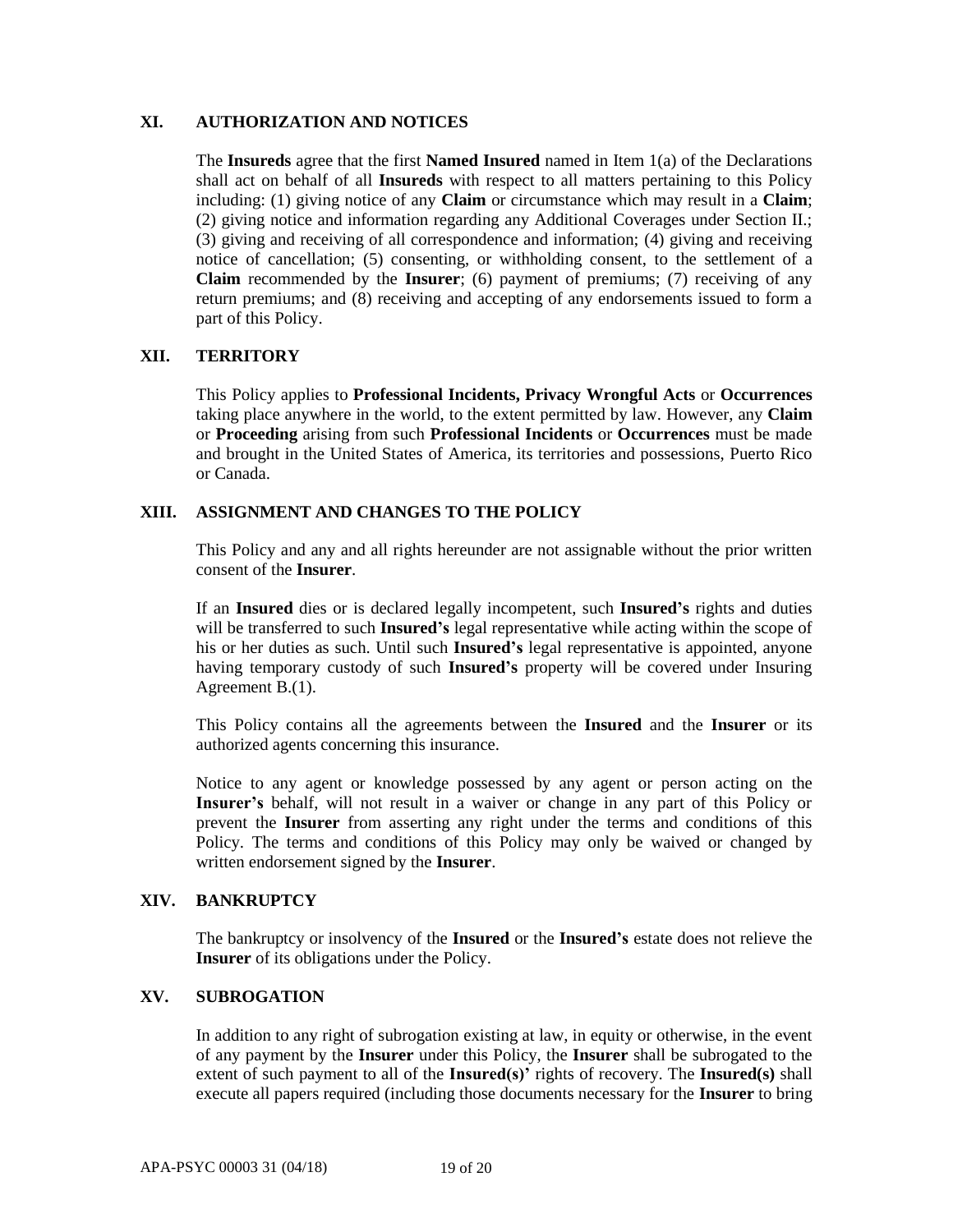### **XI. AUTHORIZATION AND NOTICES**

The **Insureds** agree that the first **Named Insured** named in Item 1(a) of the Declarations shall act on behalf of all **Insureds** with respect to all matters pertaining to this Policy including: (1) giving notice of any **Claim** or circumstance which may result in a **Claim**; (2) giving notice and information regarding any Additional Coverages under Section II.; (3) giving and receiving of all correspondence and information; (4) giving and receiving notice of cancellation; (5) consenting, or withholding consent, to the settlement of a **Claim** recommended by the **Insurer**; (6) payment of premiums; (7) receiving of any return premiums; and (8) receiving and accepting of any endorsements issued to form a part of this Policy.

### **XII. TERRITORY**

This Policy applies to **Professional Incidents, Privacy Wrongful Acts** or **Occurrences** taking place anywhere in the world, to the extent permitted by law. However, any **Claim**  or **Proceeding** arising from such **Professional Incidents** or **Occurrences** must be made and brought in the United States of America, its territories and possessions, Puerto Rico or Canada.

# **XIII. ASSIGNMENT AND CHANGES TO THE POLICY**

This Policy and any and all rights hereunder are not assignable without the prior written consent of the **Insurer**.

If an **Insured** dies or is declared legally incompetent, such **Insured's** rights and duties will be transferred to such **Insured's** legal representative while acting within the scope of his or her duties as such. Until such **Insured's** legal representative is appointed, anyone having temporary custody of such **Insured's** property will be covered under Insuring Agreement B.(1).

This Policy contains all the agreements between the **Insured** and the **Insurer** or its authorized agents concerning this insurance.

Notice to any agent or knowledge possessed by any agent or person acting on the **Insurer's** behalf, will not result in a waiver or change in any part of this Policy or prevent the **Insurer** from asserting any right under the terms and conditions of this Policy. The terms and conditions of this Policy may only be waived or changed by written endorsement signed by the **Insurer**.

### **XIV. BANKRUPTCY**

The bankruptcy or insolvency of the **Insured** or the **Insured's** estate does not relieve the **Insurer** of its obligations under the Policy.

### **XV. SUBROGATION**

In addition to any right of subrogation existing at law, in equity or otherwise, in the event of any payment by the **Insurer** under this Policy, the **Insurer** shall be subrogated to the extent of such payment to all of the **Insured(s)'** rights of recovery. The **Insured(s)** shall execute all papers required (including those documents necessary for the **Insurer** to bring